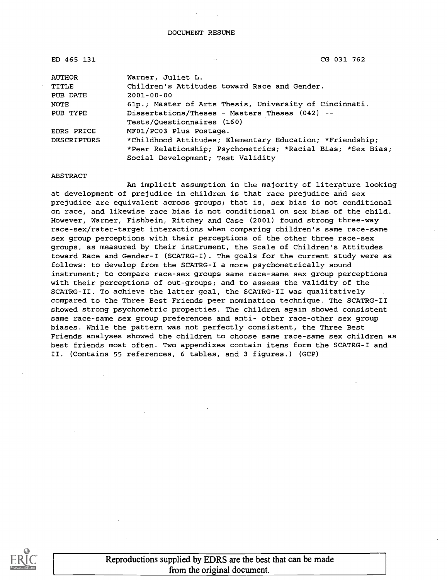| ED 465 131    | CG 031 762                                                  |
|---------------|-------------------------------------------------------------|
| <b>AUTHOR</b> | Warner, Juliet L.                                           |
| TITLE         | Children's Attitudes toward Race and Gender.                |
| PUB DATE      | $2001 - 00 - 00$                                            |
| NOTE          | 61p.; Master of Arts Thesis, University of Cincinnati.      |
| PUB TYPE      | Dissertations/Theses - Masters Theses (042) --              |
|               | Tests/Questionnaires (160)                                  |
| EDRS PRICE    | MF01/PC03 Plus Postage.                                     |
| DESCRIPTORS   | *Childhood Attitudes; Elementary Education; *Friendship;    |
|               | *Peer Relationship; Psychometrics; *Racial Bias; *Sex Bias; |
|               | Social Development; Test Validity                           |

ABSTRACT

An implicit assumption in the majority of literature looking at development of prejudice in children is that race prejudice and sex prejudice are equivalent across groups; that is, sex bias is not conditional on race, and likewise race bias is not conditional on sex bias of the child. However, Warner, Fishbein, Ritchey and Case (2001) found strong three-way race-sex/rater-target interactions when comparing children's same race-same sex group perceptions with their perceptions of the other three race-sex groups, as measured by their instrument, the Scale of Children's Attitudes toward Race and Gender-I (SCATRG-I). The goals for the current study were as follows: to develop from the SCATRG-I a more psychometrically sound instrument; to compare race-sex groups same race-same sex group perceptions with their perceptions of out-groups; and to assess the validity of the SCATRG-II. To achieve the latter goal, the SCATRG-II was qualitatively compared to the Three Best Friends peer nomination technique. The SCATRG-II showed strong psychometric properties. The children again showed consistent same race-same sex group preferences and anti- other race-other sex group biases. While the pattern was not perfectly consistent, the Three Best Friends analyses showed the children to choose same race-same sex children as best friends most often. Two appendixes contain items form the SCATRG-I and II. (Contains 55 references, 6 tables, and 3 figures.) (GCP)

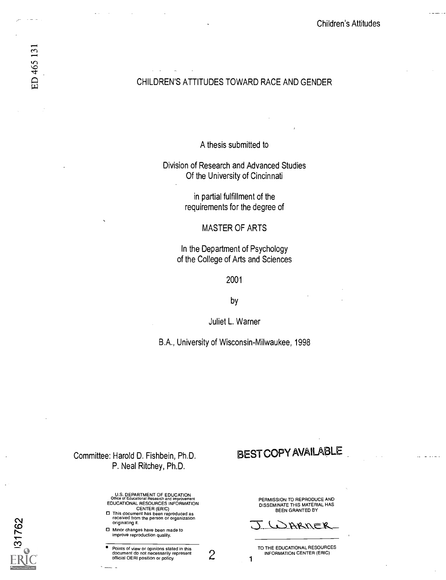# ED 465 131

## CHILDREN'S ATTITUDES TOWARD RACE AND GENDER

A thesis submitted to

Division of Research and Advanced Studies Of the University of Cincinnati

> in partial fulfillment of the requirements for the degree of

> > MASTER OF ARTS

In the Department of Psychology of the College of Arts and Sciences

2001

by

Juliet L. Warner

B.A., University of Wisconsin-Milwaukee, 1998

P. Neal Ritchey, Ph.D.

U.S. DEPARTMENT OF EDUCATION<br>Office of Educational Research and Improvement<br>EDUCATIONAL RESOURCES INFORMATION CENTER (ERIC)

0 This document has been reproduced as received from the person or organization originating it.

0 Minor changes have been made to improve reproduction quality.

CZO Points of view or opinions stated in this document do not necessarily represent 0 official OERI position or policy. \_ <sup>2</sup>

# Committee: Harold D. Fishbein, Ph.D. BEST COPY AVAILABLE

PERMISSION TO REPRODUCE AND DISSEMINATE THIS MATERIAL HAS BEEN GRANTED BY

TO THE EDUCATIONAL RESOURCES INFORMATION CENTER (ERIC)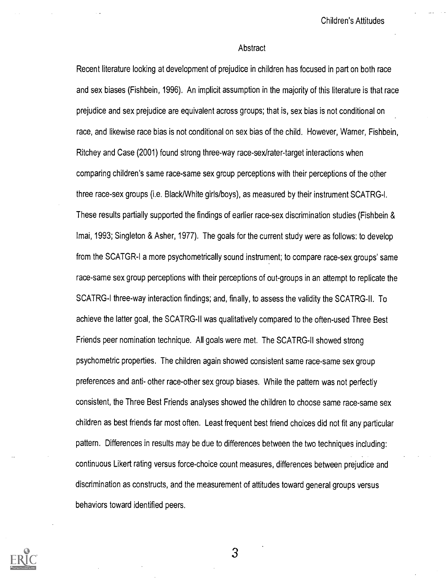#### **Abstract**

Recent literature looking at development of prejudice in children has focused in part on both race and sex biases (Fishbein, 1996). An implicit assumption in the majority of this literature is that race prejudice and sex prejudice are equivalent across groups; that is, sex bias is not conditional on race, and likewise race bias is not conditional on sex bias of the child. However, Warner, Fishbein, Ritchey and Case (2001) found strong three-way race-sex/rater-target interactions when comparing children's same race-same sex group perceptions with their perceptions of the other three race-sex groups (i.e. Black/White girls/boys), as measured by their instrument SCATRG-I. These results partially supported the findings of earlier race-sex discrimination studies (Fishbein & !mai, 1993; Singleton & Asher, 1977). The goals for the current study were as follows: to develop from the SCATGR-I a more psychometrically sound instrument; to compare race-sex groups' same race-same sex group perceptions with their perceptions of out-groups in an attempt to replicate the SCATRG-I three-way interaction findings; and, finally, to assess the validity the SCATRG-11. To achieve the latter goal, the SCATRG-I I was qualitatively compared to the often-used Three Best Friends peer nomination technique. All goals were met. The SCATRG-Il showed strong psychometric properties. The children again showed consistent same race-same sex group preferences and anti- other race-other sex group biases. While the pattern was not perfectly consistent, the Three Best Friends analyses showed the children to choose same race-same sex children as best friends far most often. Least frequent best friend choices did not fit any particular pattern. Differences in results may be due to differences between the two techniques including: continuous Likert rating versus force-choice count measures, differences between prejudice and discrimination as constructs, and the measurement of attitudes toward general groups versus behaviors toward identified peers.

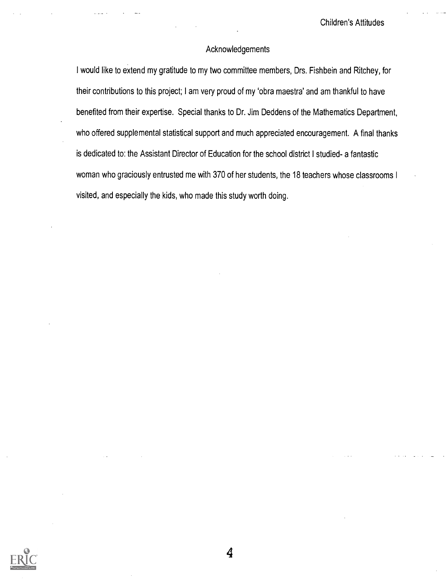#### Acknowledgements

I would like to extend my gratitude to my two committee members, Drs. Fishbein and Ritchey, for their contributions to this project; I am very proud of my 'obra maestra' and am thankful to have benefited from their expertise. Special thanks to Dr. Jim Deddens of the Mathematics Department, who offered supplemental statistical support and much appreciated encouragement. A final thanks is dedicated to: the Assistant Director of Education for the school district I studied- a fantastic woman who graciously entrusted me with 370 of her students, the 18 teachers whose classrooms I visited, and especially the kids, who made this study worth doing.

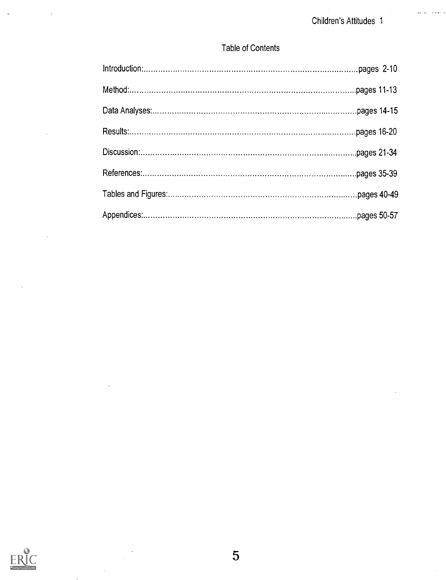$\ddotsc$ 

# Table of Contents



 $\overline{\phantom{a}}$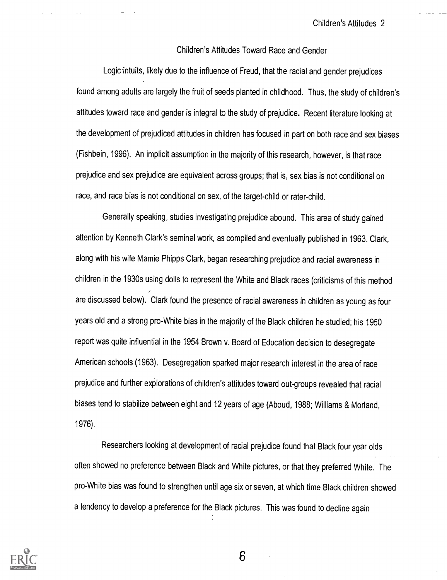#### Children's Attitudes Toward Race and Gender

Logic intuits, likely due to the influence of Freud, that the racial and gender prejudices found among adults are largely the fruit of seeds planted in childhood. Thus, the study of children's attitudes toward race and gender is integral to the study of prejudice. Recent literature looking at the development of prejudiced attitudes in children has focused in part on both race and sex biases (Fishbein, 1996). An implicit assumption in the majority of this research, however, is that race prejudice and sex prejudice are equivalent across groups; that is, sex bias is not conditional on race, and race bias is not conditional on sex, of the target-child or rater-child.

Generally speaking, studies investigating prejudice abound. This area of study gained attention by Kenneth Clark's seminal work, as compiled and eventually published in 1963. Clark, along with his wife Mamie Phipps Clark, began researching prejudice and racial awareness in children in the 1930s using dolls to represent the White and Black races (criticisms of this method are discussed below). Clark found the presence of racial awareness in children as young as four years old and a strong pro-White bias in the majority of the Black children he studied; his 1950 report was quite influential in the 1954 Brown v. Board of Education decision to desegregate American schools (1963). Desegregation sparked major research interest in the area of race prejudice and further explorations of children's attitudes toward out-groups revealed that racial biases tend to stabilize between eight and 12 years of age (Aboud, 1988; Williams & Morland, 1976).

Researchers looking at development of racial prejudice found that Black four year olds often showed no preference between Black and White pictures, or that they preferred White. The pro-White bias was found to strengthen until age six or seven, at which time Black children showed a tendency to develop a preference for the Black pictures. This was found to decline again

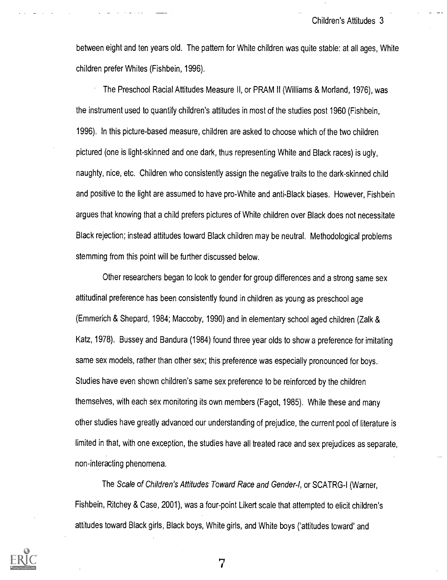between eight and ten years old. The pattern for White children was quite stable: at all ages, White children prefer Whites (Fishbein, 1996).

The Preschool Racial Attitudes Measure II, or PRAM II (Williams & Morland, 1976), was the instrument used to quantify children's attitudes in most of the studies post 1960 (Fishbein, 1996). In this picture-based measure, children are asked to choose which of the two children pictured (one is light-skinned and one dark, thus representing White and Black races) is ugly, naughty, nice, etc. Children who consistently assign the negative traits to the dark-skinned child and positive to the light are assumed to have pro-White and anti-Black biases. However, Fishbein argues that knowing that a child prefers pictures of White children over Black does not necessitate Black rejection; instead attitudes toward Black children may be neutral. Methodological problems stemming from this point will be further discussed below.

Other researchers began to look to gender for group differences and a strong same sex attitudinal preference has been consistently found in children as young as preschool age (Emmerich & Shepard, 1984; Maccoby, 1990) and in elementary school aged children (Zalk & Katz, 1978). Bussey and Bandura (1984) found three year olds to show a preference for imitating same sex models, rather than other sex; this preference was especially pronounced for boys. Studies have even shown children's same sex preference to be reinforced by the children themselves, with each sex monitoring its own members (Fagot, 1985). While these and many other studies have greatly advanced our understanding of prejudice, the current pool of literature is limited in that, with one exception, the studies have all treated race and sex prejudices as separate, non-interacting phenomena.

The Scale of Children's Attitudes Toward Race and Gender-I, or SCATRG-I (Warner, Fishbein, Ritchey & Case, 2001), was a four-point Likert scale that attempted to elicit children's attitudes toward Black girls, Black boys, White girls, and White boys ('attitudes toward' and

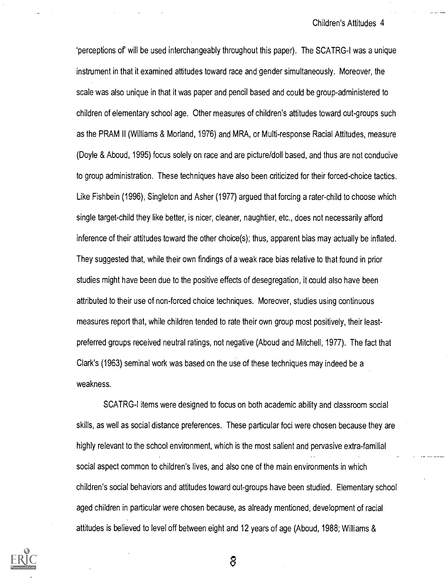'perceptions of will be used interchangeably throughout this paper). The SCATRG-I was a unique instrument in that it examined attitudes toward race and gender simultaneously. Moreover, the scale was also unique in that it was paper and pencil based and could be group-administered to children of elementary school age. Other measures of children's attitudes toward out-groups such as the PRAM II (Williams & Morland, 1976) and MRA, or Multi-response Racial Attitudes, measure (Doyle & Aboud, 1995) focus solely on race and are picture/doll based, and thus are not conducive to group administration. These techniques have also been criticized for their forced-choice tactics. Like Fishbein (1996), Singleton and Asher (1977) argued that forcing a rater-child to choose which single target-child they like better, is nicer, cleaner, naughtier, etc., does not necessarily afford inference of their attitudes toward the other choice(s); thus, apparent bias may actually be inflated. They suggested that, while their own findings of a weak race bias relative to that found in prior studies might have been due to the positive effects of desegregation, it could also have been attributed to their use of non-forced choice techniques. Moreover, studies using continuous measures report that, while children tended to rate their own group most positively, their leastpreferred groups received neutral ratings, not negative (Aboud and Mitchell, 1977). The fact that Clark's (1963) seminal work was based on the use of these techniques may indeed be a weakness.

SCATRG-I items were designed to focus on both academic ability and classroom social skills, as well as social distance preferences. These particular foci were chosen because they are highly relevant to the school environment, which is the most salient and pervasive extra-familial social aspect common to children's lives, and also one of the main environments in which children's social behaviors and attitudes toward out-groups have been studied. Elementary school aged children in particular were chosen because, as already mentioned, development of racial attitudes is believed to level off between eight and 12 years of age (Aboud, 1988; Williams &

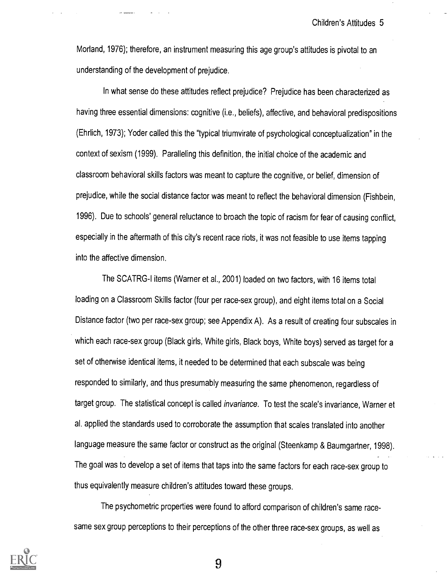Morland, 1976); therefore, an instrument measuring this age group's attitudes is pivotal to an understanding of the development of prejudice.

In what sense do these attitudes reflect prejudice? Prejudice has been characterized as having three essential dimensions: cognitive (i.e., beliefs), affective, and behavioral predispositions (Ehrlich, 1973); Yoder called this the "typical triumvirate of psychological conceptualization" in the context of sexism (1999). Paralleling this definition, the initial choice of the academic and classroom behavioral skills factors was meant to capture the cognitive, or belief, dimension of prejudice, while the social distance factor was meant to reflect the behavioral dimension (Fishbein, 1996). Due to schools' general reluctance to broach the topic of racism for fear of causing conflict, especially in the aftermath of this city's recent race riots, it was not feasible to use items tapping into the affective dimension.

The SCATRG-I items (Warner et al., 2001) loaded on two factors, with 16 items total loading on a Classroom Skills factor (four per race-sex group), and eight items total on a Social Distance factor (two per race-sex group; see Appendix A). As a result of creating four subscales in which each race-sex group (Black girls, White girls, Black boys, White boys) served as target for a set of otherwise identical items, it needed to be determined that each subscale was being responded to similarly, and thus presumably measuring the same phenomenon, regardless of target group. The statistical concept is called invariance. To test the scale's invariance, Warner et al. applied the standards used to corroborate the assumption that scales translated into another language measure the same factor or construct as the original (Steenkamp & Baumgartner, 1998). The goal was to develop a set of items that taps into the same factors for each race-sex group to thus equivalently measure children's attitudes toward these groups.

The psychometric properties were found to afford comparison of children's same racesame sex group perceptions to their perceptions of the other three race-sex groups, as well as

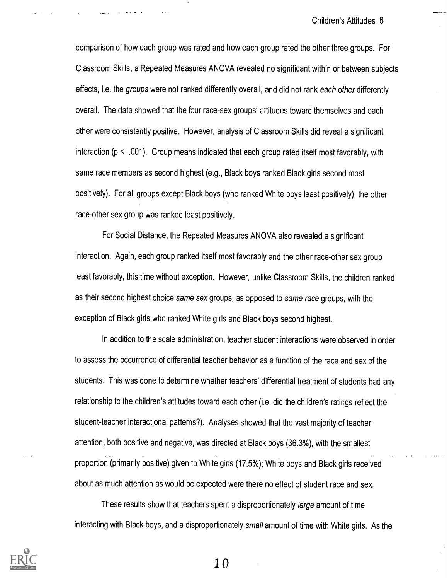comparison of how each group was rated and how each group rated the other three groups. For Classroom Skills, a Repeated Measures ANOVA revealed no significant within or between subjects effects, i.e. the groups were not ranked differently overall, and did not rank each other differently overall. The data showed that the four race-sex groups' attitudes toward themselves and each other were consistently positive. However, analysis of Classroom Skills did reveal a significant interaction (p < .001). Group means indicated that each group rated itself most favorably, with same race members as second highest (e.g., Black boys ranked Black girls second most positively). For all groups except Black boys (who ranked White boys least positively), the other race-other sex group was ranked least positively.

For Social Distance, the Repeated Measures ANOVA also revealed a significant interaction. Again, each group ranked itself most favorably and the other race-other sex group least favorably, this time without exception. However, unlike Classroom Skills, the children ranked as their second highest choice same sex groups, as opposed to same race groups, with the exception of Black girls who ranked White girls and Black boys second highest.

In addition to the scale administration, teacher student interactions were observed in order to assess the occurrence of differential teacher behavior as a function of the race and sex of the students. This was done to determine whether teachers' differential treatment of students had any relationship to the children's attitudes toward each other (i.e. did the children's ratings reflect the student-teacher interactional patterns?). Analyses showed that the vast majority of teacher attention, both positive and negative, was directed at Black boys (36.3%), with the smallest proportion (primarily positive) given to White girls (17.5%); White boys and Black girls received about as much attention as would be expected were there no effect of student race and sex.

These results show that teachers spent a disproportionately large amount of time interacting with Black boys, and a disproportionately small amount of time with White girls. As the

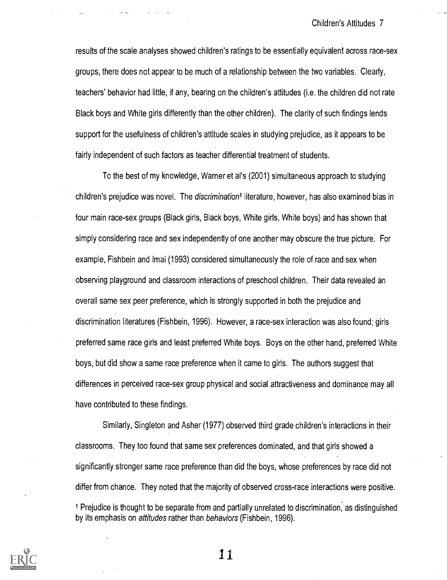results of the scale analyses showed children's ratings to be essentially equivalent across race-sex groups, there does not appear to be much of a relationship between the two variables. Clearly, teachers' behavior had little, if any, bearing on the children's attitudes (i.e. the children did not rate Black boys and White girls differently than the other children). The clarity of such findings lends support for the usefulness of children's attitude scales in studying prejudice, as it appears to be fairly independent of such factors as teacher differential treatment of students.

To the best of my knowledge, Warner et al's (2001) simultaneous approach to studying children's prejudice was novel. The *discrimination*<sup>1</sup> literature, however, has also examined bias in four main race-sex groups (Black girls, Black boys, White girls, White boys) and has shown that simply considering race and sex independently of one another may obscure the true picture. For example, Fishbein and lmai (1993) considered simultaneously the role of race and sex when observing playground and classroom interactions of preschool children. Their data revealed an overall same sex peer preference, which is strongly supported in both the prejudice and discrimination literatures (Fishbein, 1996). However, a race-sex interaction was also found; girls preferred same race girls and least preferred White boys. Boys on the other hand, preferred White boys, but did show a same race preference when it came to girls. The authors suggest that differences in perceived race-sex group physical and social attractiveness and dominance may all have contributed to these findings.

Similarly, Singleton and Asher (1977) observed third grade children's interactions in their classrooms. They too found that same sex preferences dominated, and that girls showed a significantly stronger same race preference than did the boys, whose preferences by race did not differ from chance. They noted that the majority of observed cross-race interactions were positive. 1 Prejudice is thought to be separate from and partially unrelated to discrimination, as distinguished by its emphasis on attitudes rather than behaviors (Fishbein, 1996).



ii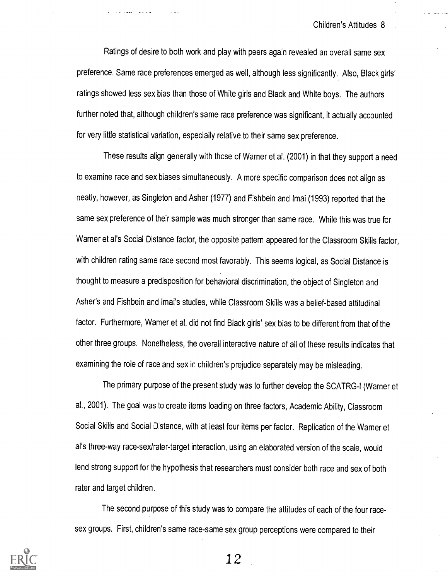Ratings of desire to both work and play with peers again revealed an overall same sex preference. Same race preferences emerged as well, although less significantly. Also, Black girls' ratings showed less sex bias than those of White girls and Black and White boys. The authors further noted that, although children's same race preference was significant, it actually accounted for very little statistical variation, especially relative to their same sex preference.

These results align generally with those of Warner et al. (2001) in that they support a need to examine race and sex biases simultaneously. A more specific comparison does not align as neatly, however, as Singleton and Asher (1977) and Fishbein and lmai (1993) reported that the same sex preference of their sample was much stronger than same race. While this was true for Warner et al's Social Distance factor, the opposite pattern appeared for the Classroom Skills factor, with children rating same race second most favorably. This seems logical, as Social Distance is thought to measure a predisposition for behavioral discrimination, the object of Singleton and Asher's and Fishbein and Imai's studies, while Classroom Skills was a belief-based attitudinal factor. Furthermore, Wamer et al. did not find Black girls' sex bias to be different from that of the other three groups. Nonetheless, the overall interactive nature of all of these results indicates that examining the role of race and sex in children's prejudice separately may be misleading.

The primary purpose of the present study was to further develop the SCATRG-I (Warner et al., 2001). The goal was to create items loading on three factors, Academic Ability, Classroom Social Skills and Social Distance, with at least four items per factor. Replication of the Warner et al's three-way race-sex/rater-target interaction, using an elaborated version of the scale, would lend strong support for the hypothesis that researchers must consider both race and sex of both rater and target children.

The second purpose of this study was to compare the attitudes of each of the four racesex groups. First, children's same race-same sex group perceptions were compared to their

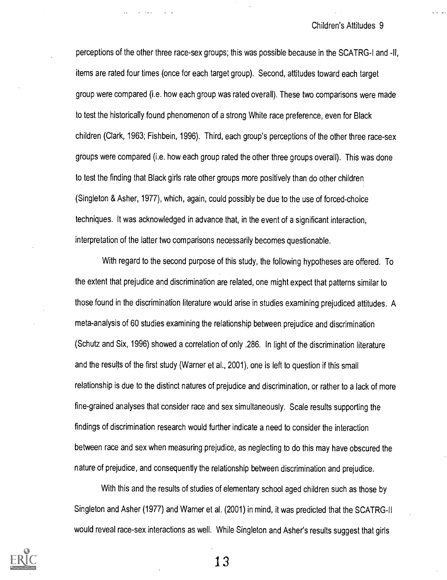perceptions of the other three race-sex groups; this was possible because in the SCATRG-I and -II, items are rated four times (once for each target group). Second, attitudes toward each target group were compared (i.e. how each group was rated overall). These two comparisons were made to test the historically found phenomenon of a strong White race preference, even for Black children (Clark, 1963; Fishbein, 1996). Third, each group's perceptions of the other three race-sex groups were compared (i.e. how each group rated the other three groups overall). This was done to test the finding that Black girls rate other groups more positively than do other children (Singleton & Asher, 1977), which, again, could possibly be due to the use of forced-choice techniques. It was acknowledged in advance that, in the event of a significant interaction, interpretation of the latter two comparisons necessarily becomes questionable.

With regard to the second purpose of this study, the following hypotheses are offered. To the extent that prejudice and discrimination are related, one might expect that patterns similar to those found in the discrimination literature would arise in studies examining prejudiced attitudes. A meta-analysis of 60 studies examining the relationship between prejudice and discrimination (Schutz and Six, 1996) showed a correlation of only .286. In light of the discrimination literature and the results of the first study (Warner et al., 2001), one is left to question if this small relationship is due to the distinct natures of prejudice and discrimination, or rather to a lack of more fine-grained analyses that consider race and sex simultaneously. Scale results supporting the findings of discrimination research would further indicate a need to consider the interaction between race and sex when measuring prejudice, as neglecting to do this may have obscured the nature of prejudice, and consequently the relationship between discrimination and prejudice.

With this and the results of studies of elementary school aged children such as those by Singleton and Asher (1977) and Warner et al. (2001) in mind, it was predicted that the SCATRG-II would reveal race-sex interactions as well. While Singleton and Asher's results suggest that girls

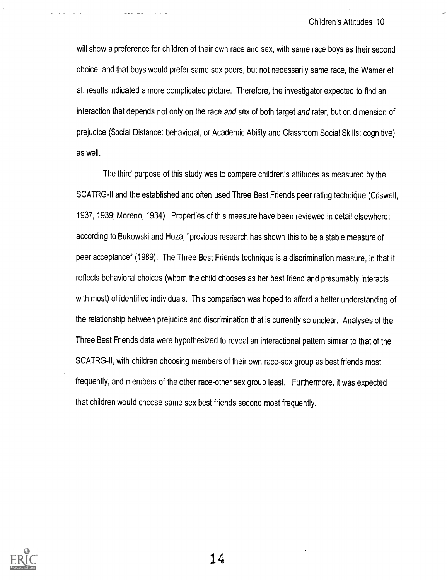will show a preference for children of their own race and sex, with same race boys as their second choice, and that boys would prefer same sex peers, but not necessarily same race, the Warner et al. results indicated a more complicated picture. Therefore, the investigator expected to find an interaction that depends not only on the race and sex of both target and rater, but on dimension of prejudice (Social Distance: behavioral, or Academic Ability and Classroom Social Skills: cognitive) as well.

The third purpose of this study was to compare children's attitudes as measured by the SCATRG-II and the established and often used Three Best Friends peer rating technique (Criswell, 1937, 1939; Moreno, 1934), Properties of this measure have been reviewed in detail elsewhere; according to Bukowski and Hoza, "previous research has shown this to be a stable measure of peer acceptance" (1989). The Three Best Friends technique is a discrimination measure, in that it reflects behavioral choices (whom the child chooses as her best friend and presumably interacts with most) of identified individuals. This comparison was hoped to afford a better understanding of the relationship between prejudice and discrimination that is currently so unclear. Analyses of the Three Best Friends data were hypothesized to reveal an interactional pattern similar to that of the SCATRG-II, with children choosing members of their own race-sex group as best friends most frequently, and members of the other race-other sex group least. Furthermore, it was expected that children would choose same sex best friends second most frequently.

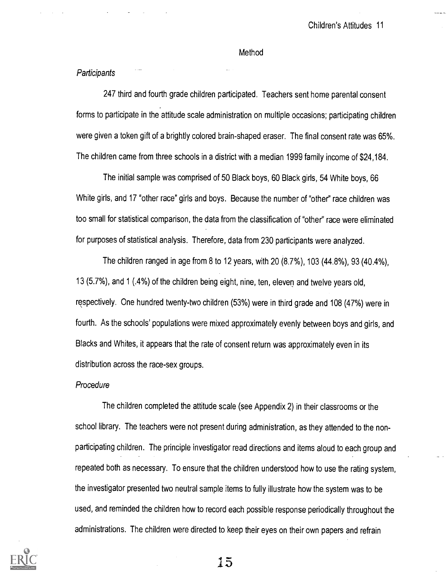#### **Method**

#### **Participants**

247 third and fourth grade children participated. Teachers sent home parental consent forms to participate in the attitude scale administration on multiple occasions; participating children were given a token gift of a brightly colored brain-shaped eraser. The final consent rate was 65%. The children came from three schools in a district with a median 1999 family income of \$24,184.

The initial sample was comprised of 50 Black boys, 60 Black girls, 54 White boys, 66 White girls, and 17 "other race" girls and boys. Because the number of "other" race children was too small for statistical comparison, the data from the classification of "other" race were eliminated for purposes of statistical analysis. Therefore, data from 230 participants were analyzed.

The children ranged in age from 8 to 12 years, with 20 (8.7%), 103 (44.8%), 93 (40.4%), 13 (5.7%), and 1 (.4%) of the children being eight, nine, ten, eleven and twelve years old, respectively. One hundred twenty-two children (53%) were in third grade and 108 (47%) were in fourth. As the schools' populations were mixed approximately evenly between boys and girls, and Blacks and Whites, it appears that the rate of consent return was approximately even in its distribution across the race-sex groups.

#### Procedure

The children completed the attitude scale (see Appendix 2) in their classrooms or the school library. The teachers were not present during administration, as they attended to the nonparticipating children. The principle investigator read directions and items aloud to each group and repeated both as necessary. To ensure that the children understood how to use the rating system, the investigator presented two neutral sample items to fully illustrate how the. system was to be used, and reminded the children how to record each possible response periodically throughout the administrations. The children were directed to keep their eyes on their own papers and refrain

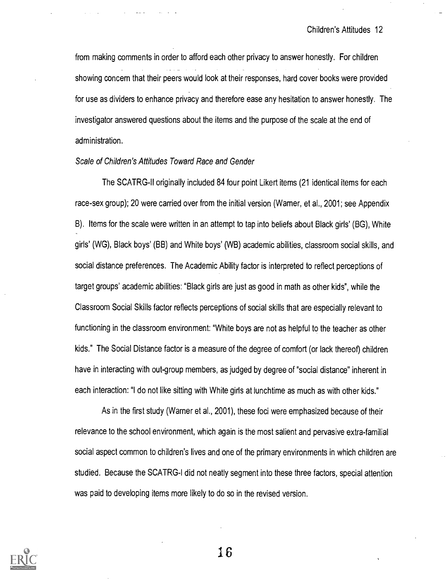from making comments in order to afford each other privacy to answer honestly. For children showing concern that their peers would look at their responses, hard cover books were provided for use as dividers to enhance privacy and therefore ease any hesitation to answer honestly. The investigator answered questions about the items and the purpose of the scale at the end of administration.

#### Scale of Children's Attitudes Toward Race and Gender

The SCATRG-II originally included 84 four point Likert items (21 identical items for each race-sex group); 20 were carried over from the initial version (Warner, et al., 2001; see Appendix B). Items for the scale were written in an attempt to tap into beliefs about Black girls' (BG), White \_girls' (WG), Black boys' (BB) and White boys' (WB) academic abilities, classroom social skills, and social distance preferences. The Academic Ability factor is interpreted to reflect perceptions of target groups' academic abilities: "Black girls are just as good in math as other kids", while the Classroom Social Skills factor reflects perceptions of social skills that are especially relevant to functioning in the classroom environment: "White boys are not as helpful to the teacher as other kids." The Social Distance factor is a measure of the degree of comfort (or lack thereof) children have in interacting with out-group members, as judged by degree of "social distance" inherent in each interaction: "I do not like sitting with White girls at lunchtime as much as with other kids."

As in the first study (Warner et al., 2001), these foci were emphasized because of their relevance to the school environment, which again is the most salient and pervasive extra-familial social aspect common to children's lives and one of the primary environments in which children are studied. Because the SCATRG-I did not neatly segment into these three factors, special attention was paid to developing items more likely to do so in the revised version.

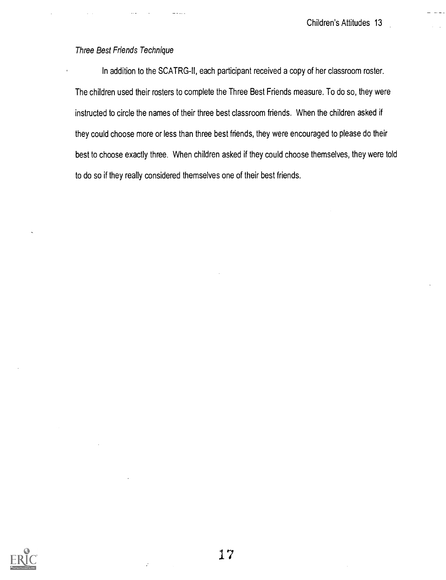## Three Best Friends Technique

-

In addition to the SCATRG-II, each participant received a copy of her classroom roster. The children used their rosters to complete the Three Best Friends measure. To do so, they were instructed to circle the names of their three best classroom friends. When the children asked if they could choose more or less than three best friends, they were encouraged to please do their best to choose exactly three. When children asked if they could choose themselves, they were told to do so if they really considered themselves one of their best friends.

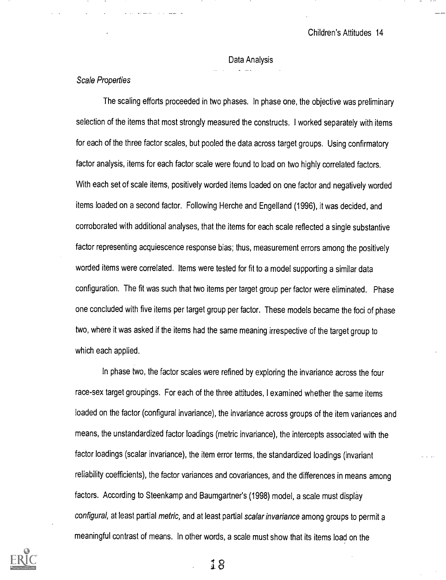#### Data Analysis

#### Scale Properties

The scaling efforts proceeded in two phases. In phase one, the objective was preliminary selection of the items that most strongly measured the constructs. I worked separately with items for each of the three factor scales, but pooled the data across target groups. Using confirmatory factor analysis, items for each factor scale were found to load on two highly correlated factors. With each set of scale items, positively worded items loaded on one factor and negatively worded items loaded on a second factor. Following Herche and Engelland (1996), it was decided, and corroborated with additional analyses, that the items for each scale reflected a single substantive factor representing acquiescence response bias; thus, measurement errors among the positively worded items were correlated. Items were tested for fit to a model supporting a similar data configuration. The fit was such that two items per target group per factor were eliminated. Phase one concluded with five items per target group per factor. These models became the foci of phase two, where it was asked if the items had the same meaning irrespective of the target group to which each applied.

In phase two, the factor scales were refined by exploring the invariance across the four race-sex target groupings. For each of the three attitudes, I examined whether the same items loaded on the factor (configural invariance), the invariance across groups of the item variances and means, the unstandardized factor loadings (metric invariance), the intercepts associated with the factor loadings (scalar invariance), the item error terms, the standardized loadings (invariant reliability coefficients), the factor variances and covariances, and the differences in means among factors. According to Steenkamp and Baumgartner's (1998) model, a scale must display configural, at least partial metric, and at least partial scalar invariance among groups to permit a meaningful contrast of means. In other words, a scale must show that its items load on the

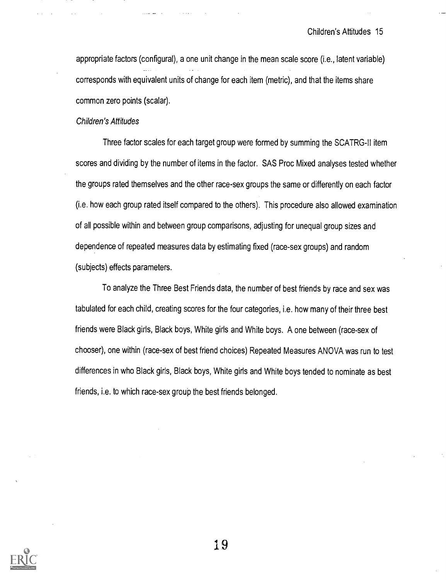appropriate factors (configural), a one unit change in the mean scale score (i.e., latent variable) corresponds with equivalent units of change for each item (metric), and that the items share common zero points (scalar).

#### Children's Attitudes

Three factor scales for each target group were formed by summing the SCATRG-Il item scores and dividing by the number of items in the factor. SAS Proc Mixed analyses tested whether the groups rated themselves and the other race-sex groups the same or differently on each factor (i.e. how each group rated itself compared to the others). This procedure also allowed examination of all possible within and between group comparisons, adjusting for unequal group sizes and dependence of repeated measures data by estimating fixed (race-sex groups) and random (subjects) effects parameters.

To analyze the Three Best Friends data, the number of best friends by race and sex was tabulated for each child, creating scores for the four categories, i.e. how many of their three best friends were Black girls, Black boys, White girls and White boys. A one between (race-sex of chooser), one within (race-sex of best friend choices) Repeated Measures ANOVA was run to test differences in who Black girls, Black boys, White girls and White boys tended to nominate as best friends, i.e. to which race-sex group the best friends belonged.

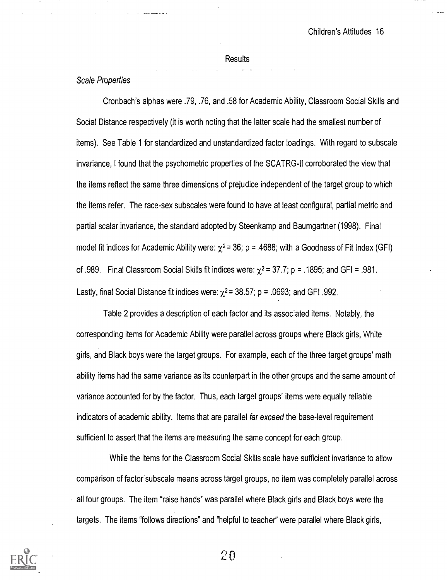#### **Results**

#### Scale Properties

Cronbach's alphas were .79, .76, and .58 for Academic Ability, Classroom Social Skills and Social Distance respectively (it is worth noting that the latter scale had the smallest number of items). See Table 1 for standardized and unstandardized factor loadings. With regard to subscale invariance, I found that the psychometric properties of the SCATRG-II corroborated the view that the items reflect the same three dimensions of prejudice independent of the target group to which the items refer. The race-sex subscales were found to have at least configural, partial metric and partial scalar invariance, the standard adopted by Steenkamp and Baumgartner (1998). Final model fit indices for Academic Ability were:  $\chi^2$  = 36; p = .4688; with a Goodness of Fit Index (GFI) of .989. Final Classroom Social Skills fit indices were:  $\chi^2$  = 37.7; p = .1895; and GFI = .981. Lastly, final Social Distance fit indices were:  $\chi^2$  = 38.57; p = .0693; and GFI .992.

Table 2 provides a description of each factor and its associated items. Notably, the corresponding items for Academic Ability were parallel across groups where Black girls, White girls, and Black boys were the target groups. For example, each of the three target groups' math ability items had the same variance as its counterpart in the other groups and the same amount of variance accounted for by the factor. Thus, each target groups' items were equally reliable indicators of academic ability. Items that are parallel far exceed the base-level requirement sufficient to assert that the items are measuring the same concept for each group.

While the items for the Classroom Social Skills scale have sufficient invariance to allow comparison of factor subscale means across target groups, no item was completely parallel across all four groups. The item "raise hands" was parallel where Black girls and Black boys were the targets. The items "follows directions" and "helpful to teacher" were parallel where Black girls,

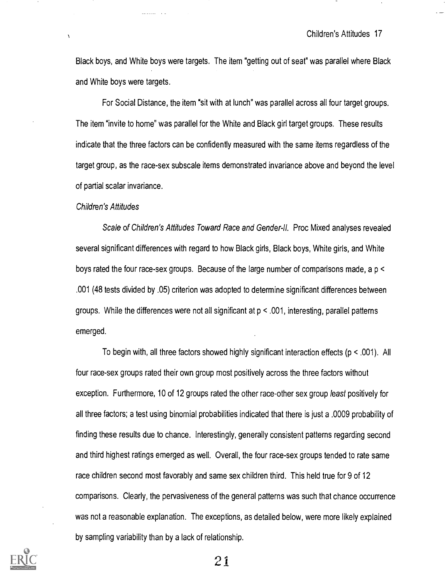Black boys, and White boys were targets. The item "getting out of seat" was parallel where Black and White boys were targets.

For Social Distance, the item "sit with at lunch" was parallel across all four target groups. The item "invite to home" was parallel for the White and Black girl target groups. These results indicate that the three factors can be confidently measured with the same items regardless of the target group, as the race-sex subscale items demonstrated invariance above and beyond the level of partial scalar invariance.

#### Children's Attitudes

 $\lambda$ 

Scale of Children's Attitudes Toward Race and Gender-ll. Proc Mixed analyses revealed several significant differences with regard to how Black girls, Black boys, White girls, and White boys rated the four race-sex groups. Because of the large number of comparisons made, a p < .001 (48 tests divided by .05) criterion was adopted to determine significant differences between groups. While the differences were not all significant at  $p < .001$ , interesting, parallel patterns emerged.

To begin with, all three factors showed highly significant interaction effects (p < .001). All four race-sex groups rated their own group most positively across the three factors without exception. Furthermore, 10 of 12 groups rated the other race-other sex group least positively for all three factors; a test using binomial probabilities indicated that there is just a .0009 probability of finding these results due to chance. Interestingly, generally consistent patterns regarding second and third highest ratings emerged as well. Overall, the four race-sex groups tended to rate same race children second most favorably and same sex children third. This held true for 9 of 12 comparisons. Clearly, the pervasiveness of the general patterns was such that chance occurrence was not a reasonable explanation. The exceptions, as detailed below, were more likely explained by sampling variability than by a lack of relationship.

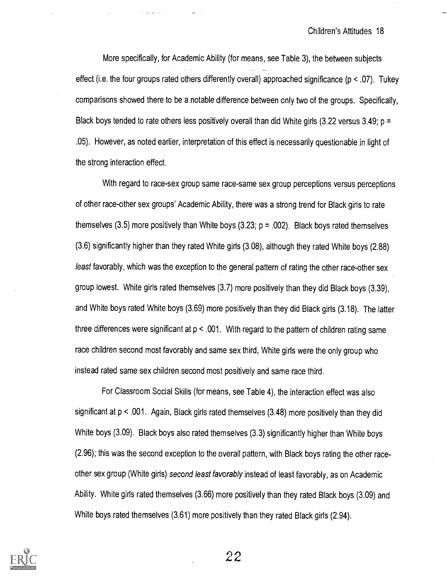More specifically, for Academic Ability (for means, see Table 3), the between subjects effect (i.e. the four groups rated others differently overall) approached significance (p < .07). Tukey comparisons showed there to be a notable difference between only two of the groups. Specifically, Black boys tended to rate others less positively overall than did White girls (3.22 versus 3.49;  $p =$ .05). However, as noted earlier, interpretation of this effect is necessarily questionable in light of the strong interaction effect.

المتحافظ والمستحقق والمتار

 $\Delta \sim 10$ 

With regard to race-sex group same race-same sex group perceptions versus perceptions of other race-other sex groups' Academic Ability, there was a strong trend for Black girls to rate themselves (3.5) more positively than White boys (3.23;  $p = .002$ ). Black boys rated themselves (3.6) significantly higher than they rated White girls (3.08), although they rated White boys (2.88) least favorably, which was the exception to the general pattern of rating the other race-other sex group lowest. White girls rated themselves (3.7) more positively than they did Black boys (3.39), and White boys rated White boys (3.69) more positively than they did Black girls (3.18). The latter three differences were significant at p < .001. With regard to the pattern of children rating same race children second most favorably and same sex third, White girls were the only group who instead rated same sex children second most positively and same race third.

For Classroom Social Skills (for means, see Table 4), the interaction effect was also significant at p < .001. Again, Black girls rated themselves (3.48) more positively than they did White boys (3.09). Black boys also rated themselves (3.3) significantly higher than White boys (2.96); this was the second exception to the overall pattern, with Black boys rating the otherraceother sex group (White girls) second least favorably instead of least favorably, as on Academic Ability. White girls rated themselves (3.66) more positively than they rated Black boys (3.09) and White boys rated themselves (3.61) more positively than they rated Black girls (2.94).

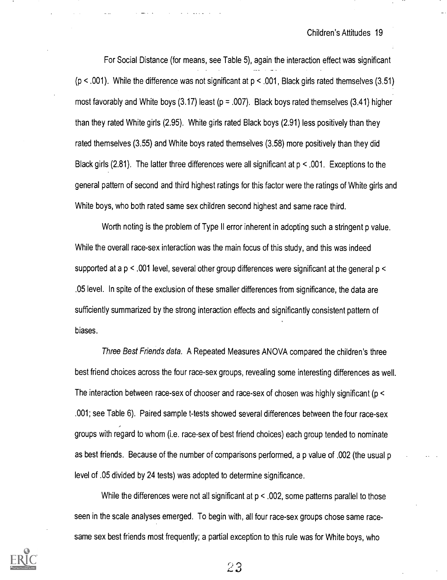For Social Distance (for means, see Table 5), again the interaction effect was significant ( $p$  < .001). While the difference was not significant at  $p$  < .001, Black girls rated themselves (3.51) most favorably and White boys (3.17) least ( $p = .007$ ). Black boys rated themselves (3.41) higher than they rated White girls (2.95). White girls rated Black boys (2.91) less positively than they rated themselves (3.55) and White boys rated themselves (3.58) more positively than they did Black girls (2.81). The latter three differences were all significant at  $p < .001$ . Exceptions to the general pattern of second and third highest ratings for this factor were the ratings of White girls and White boys, who both rated same sex children second highest and same race third.

Worth noting is the problem of Type II error inherent in adopting such a stringent p value. While the overall race-sex interaction was the main focus of this study, and this was indeed supported at a p < .001 level, several other group differences were significant at the general p < .05 level. In spite of the exclusion of these smaller differences from significance, the data are sufficiently summarized by the strong interaction effects and significantly consistent pattern of biases.

Three Best Friends data. A Repeated Measures ANOVA compared the children's three best friend choices across the four race-sex groups, revealing some interesting differences as well. The interaction between race-sex of chooser and race-sex of chosen was highly significant (p < .001; see Table 6). Paired sample t-tests showed several differences between the four race-sex groups with regard to whom (i.e. race-sex of best friend choices) each group tended to nominate as best friends. Because of the number of comparisons performed, a p value of .002 (the usual p level of .05 divided by 24 tests) was adopted to determine significance.

While the differences were not all significant at  $p < 0.002$ , some patterns parallel to those seen in the scale analyses emerged. To begin with, all four race-sex groups chose same racesame sex best friends most frequently; a partial exception to this rule was for White boys, who

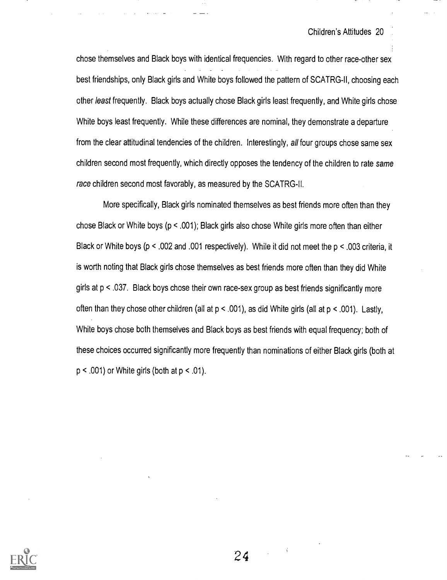chose themselves and Black boys with identical frequencies. With regard to other race-other sex best friendships, only Black girls and White boys followed the pattern of SCATRG-II, choosing each other least frequently. Black boys actually chose Black girls least frequently, and White girls chose White boys least frequently. While these differences are nominal, they demonstrate a departure from the clear attitudinal tendencies of the children. Interestingly, all four groups chose same sex children second most frequently, which directly opposes the tendency of the children to rate same race children second most favorably, as measured by the SCATRG-II.

More specifically, Black girls nominated themselves as best friends more often than they chose Black or White boys (p < .001); Black girls also chose White girls more often than either Black or White boys (p < .002 and .001 respectively). While it did not meet the p < .003 criteria, it is worth noting that Black girls chose themselves as best friends more often than they did White girls at p < .037. Black boys chose their own race-sex group as best friends significantly more often than they chose other children (all at p < .001), as did White girls (all at p < .001). Lastly, White boys chose both themselves and Black boys as best friends with equal frequency; both of these choices occurred significantly more frequently than nominations of either Black girls (both at  $p < .001$ ) or White girls (both at  $p < .01$ ).



24

 $\gamma_{\rm eff} \sim 3$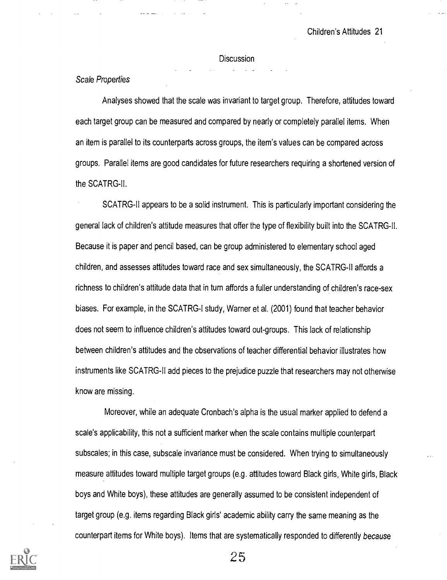#### **Discussion**

#### Scale Properties

Analyses showed that the scale was invariant to target group. Therefore, attitudes toward each target group can be measured and compared by nearly or completely parallel items. When an item is parallel to its counterparts across groups, the item's values can be compared across groups. Parallel items are good candidates for future researchers requiring a shortened version of the SCATRG-II.

SCATRG-I1 appears to be a solid instrument. This is particularly important considering the general lack of children's attitude measures that offer the type of flexibility built into the SCATRG-II. Because it is paper and pencil based, can be group administered to elementary school aged children, and assesses attitudes toward race and sex simultaneously, the SCATRG-Il affords a richness to children's attitude data that in turn affords a fuller understanding of children's race-sex biases. For example, in the SCATRG-I study, Warner et al. (2001) found that teacher behavior does not seem to influence children's attitudes toward out-groups. This lack of relationship between children's attitudes and the observations of teacher differential behavior illustrates how instruments like SCATRG-I1 add pieces to the prejudice puzzle that researchers may not otherwise know are missing.

Moreover, while an adequate Cronbach's alpha is the usual marker applied to defend a scale's applicability, this not a sufficient marker when the scale contains multiple counterpart subscales; in this case, subscale invariance must be considered. When trying to simultaneously measure attitudes toward multiple target groups (e.g. attitudes toward Black girls, White girls, Black boys and White boys), these attitudes are generally assumed to be consistent independent of target group (e.g. items regarding Black girls' academic ability carry the same meaning as the counterpart items for White boys). Items that are systematically responded to differently because

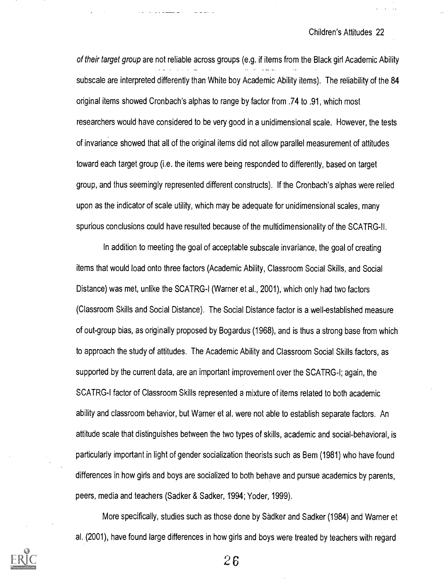of their target group are not reliable across groups (e.g. if items from the Black girl Academic Ability subscale are interpreted differently than White boy Academic Ability items). The reliability of the 84 original items showed Cronbach's alphas to range by factor from .74 to .91, which most researchers would have considered to be very good in a unidimensional scale. However, the tests of invariance showed that all of the original items did not allow parallel measurement of attitudes toward each target group (i.e. the items were being responded to differently, based on target group, and thus seemingly represented different constructs). If the Cronbach's alphas were relied upon as the indicator of scale utility, which may be adequate for unidimensional scales, many spurious conclusions could have resulted because of the multidimensionality of the SCATRG-II.

In addition to meeting the goal of acceptable subscale invariance, the goal of creating items that would load onto three factors (Academic Ability, Classroom Social Skills, and Social Distance) was met, unlike the SCATRG-I (Warner et al., 2001), which only had two factors (Classroom Skills and Social Distance). The Social Distance factor is a well-established measure of out-group bias, as originally proposed by Bogardus (1968), and is thus a strong base from which to approach the study of attitudes. The Academic Ability and Classroom Social Skills factors, as supported by the current data, are an important improvement over the SCATRG-I; again, the SCATRG-I factor of Classroom Skills represented a mixture of items related to both academic ability and classroom behavior, but Warner et al. were not able to establish separate factors. An attitude scale that distinguishes between the two types of skills, academic and social-behavioral, is particularly important in light of gender socialization theorists such as Bem (1981) who have found differences in how girls and boys are socialized to both behave and pursue academics by parents, peers, media and teachers (Sadker & Sadker, 1'994; Yoder, 1999).

More specifically, studies such as those done by Sadker and Sadker (1984) and Warner et al. (2001), have found large differences in how girls and boys were treated by teachers with regard

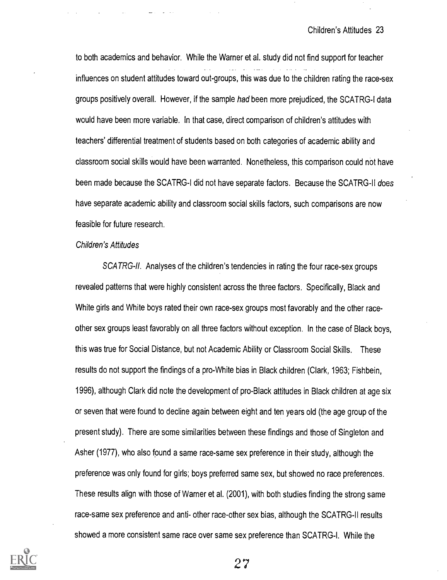to both academics and behavior. While the Warner et al. study did not find support for teacher influences on student attitudes toward out-groups, this was due to the children rating the race-sex groups positively overall. However, if the sample had been more prejudiced, the SCATRG-I data would have been more variable. In that case, direct comparison of children's attitudes with teachers' differential treatment of students based on both categories of academic ability and classroom social skills would have been warranted. Nonetheless, this comparison could not have been made because the SCATRG-I did not have separate factors. Because the SCATRG-II does have separate academic ability and classroom social skills factors, such comparisons are now feasible for future research.

#### Children's Attitudes

SCATRG-II. Analyses of the children's tendencies in rating the four race-sex groups revealed patterns that were highly consistent across the three factors. Specifically, Black and White girls and White boys rated their own race-sex groups most favorably and the other raceother sex groups least favorably on all three factors without exception. In the case of Black boys, this was true for Social Distance, but not Academic Ability or Classroom Social Skills. These results do not support the findings of a pro-White bias in Black children (Clark, 1963; Fishbein, 1996), although Clark did note the development of pro-Black attitudes in Black children at age six or seven that were found to decline again between eight and ten years old (the age group of the present study). There are some similarities between these findings and those of Singleton and Asher (1977), who also found a same race-same sex preference in their study, although the preference was only found for girls; boys preferred same sex, but showed no race preferences. These results align with those of Warner et al. (2001), with both studies finding the strong same race-same sex preference and anti- other race-other sex bias, although the SCATRG-I1 results showed a more consistent same race over same sex preference than SCATRG-I. While the

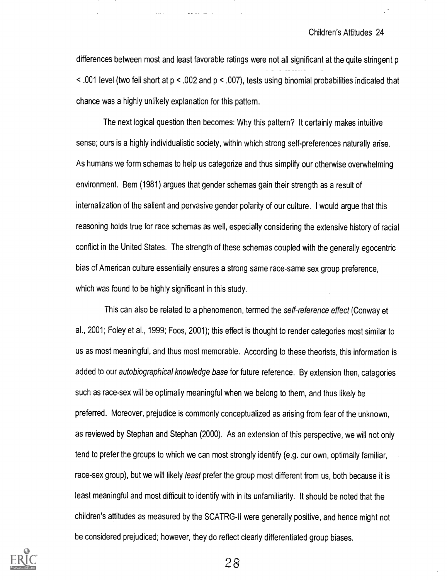differences between most and least favorable ratings were not all significant at the quite stringent p < .001 level (two fell short at p < .002 and p < .007), tests using binomial probabilities indicated that chance was a highly unlikely explanation for this pattern.

The next logical question then becomes: Why this pattern? It certainly makes intuitive sense; ours is a highly individualistic society, within which strong self-preferences naturally arise. As humans we form schemas to help us categorize and thus simplify our otherwise overwhelming environment. Bem (1981) argues that gender schemas gain their strength as a result of internalization of the salient and pervasive gender polarity of our culture. I would argue that this reasoning holds true for race schemas as well, especially considering the extensive history of racial conflict in the United States. The strength of these schernas coupled with the generally egocentric bias of American culture essentially ensures a strong same race-same sex group preference, which was found to be highly significant in this study.

This can also be related to a phenomenon, termed the self-reference effect (Conway et al., 2001; Foley et al., 1999; Foos, 2001); this effect is thought to render categories most similar to us as most meaningful, and thus most memorable. According to these theorists, this information is added to our autobiographical knowledge base for future reference. By extension then, categories such as race-sex will be optimally meaningful when we belong to them, and thus likely be preferred. Moreover, prejudice is commonly conceptualized as arising from fear of the unknown, as reviewed by Stephan and Stephan (2000). As an extension of this perspective, we will not only tend to prefer the groups to which we can most strongly identify (e.g. our own, optimally familiar, race-sex group), but we will likely least prefer the group most different from us, both because it is least meaningful and most difficult to identify with in its unfamiliarity. It should be noted that the children's attitudes as measured by the SCATRG-II were generally positive, and hence might not be considered prejudiced; however, they do reflect clearly differentiated group biases.

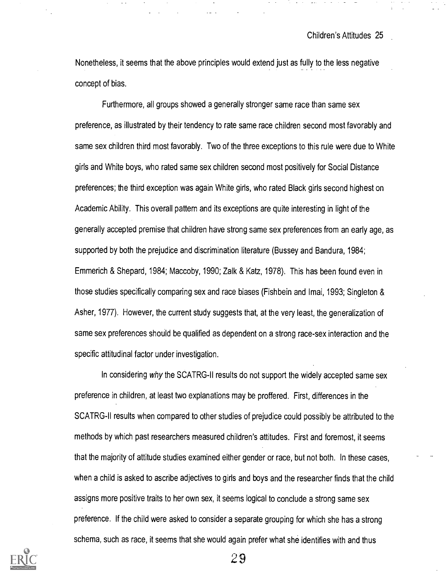Nonetheless, it seems that the above principles would extend just as fully to the less negative concept of bias.

Furthermore, all groups showed a generally stronger same race than same sex preference, as illustrated by their tendency to rate same race children second most favorably and same sex children third most favorably. Two of the three exceptions to this rule were due to White girls and White boys, who rated same sex children second most positively for Social Distance preferences; the third exception was again White girls, who rated Black girls second highest on Academic Ability. This overall pattern and its exceptions are quite interesting in light of the generally accepted premise that children have strong same sex preferences from an early age, as supported by both the prejudice and discrimination literature (Bussey and Bandura, 1984; Emmerich & Shepard, 1984; Maccoby, 1990; Zalk & Katz, 1978). This has been found even in those studies specifically comparing sex and race biases (Fishbein and lmai, 1993; Singleton & Asher, 1977). However, the current study suggests that, at the very least, the generalization of same sex preferences should be qualified as dependent on a strong race-sex interaction and the specific attitudinal factor under investigation.

In considering why the SCATRG-II results do not support the widely accepted same sex preference in children, at least two explanations may be proffered. First, differences in the SCATRG-II results when compared to other studies of prejudice could possibly be attributed to the methods by which past researchers measured children's attitudes. First and foremost, it seems that the majority of attitude studies examined either gender or race, but not both. In these cases, when a child is asked to ascribe adjectives to girls and boys and the researcher finds that the child assigns more positive traits to her own sex, it seems logical to conclude a strong same sex preference. If the child were asked to consider a separate grouping for which she has a strong schema, such as race, it seems that she would again prefer what she identifies with and thus

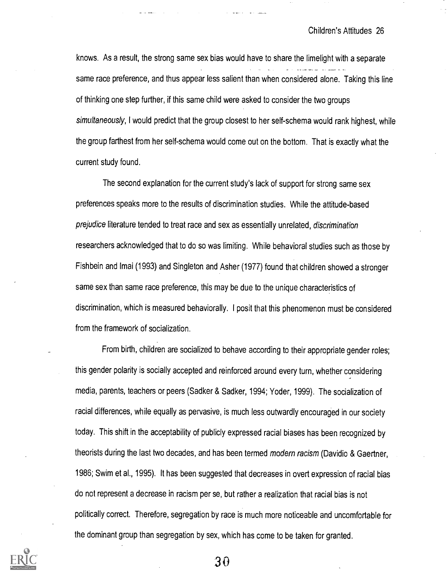knows. As a result, the strong same sex bias would have to share the limelight with a separate same race preference, and thus appear less salient than when considered alone. Taking this line of thinking one step further, if this same child were asked to consider the two groups simultaneously, I would predict that the group closest to her self-schema would rank highest, while the group farthest from her self-schema would come out on the bottom. That is exactly what the current study found.

The second explanation for the current study's lack of support for strong same sex preferences speaks more to the results of discrimination studies. While the attitude-based prejudice literature tended to treat race and sex as essentially unrelated, discrimination researchers acknowledged that to do so was limiting. While behavioral studies such as those by Fishbein and lmai (1993) and Singleton and Asher (1977) found that children showed a stronger same sex than same race preference, this may be due to the unique characteristics of discrimination, which is measured behaviorally. I posit that this phenomenon must be considered from the framework of socialization.

From birth, children are socialized to behave according to their appropriate gender roles; this gender polarity is socially accepted and reinforced around every turn, whether considering media, parents, teachers or peers (Sadker & Sadker, 1994; Yoder, 1999). The socialization of racial differences, while equally as pervasive, is much less outwardly encouraged in our society today. This shift in the acceptability of publicly expressed racial biases has been recognized by theorists during the last two decades, and has been termed modern racism (Davidio & Gaertner, 1986; Swim et al., 1995). It has been suggested that decreases in overt expression of racial bias do not represent a decrease in racism per se, but rather a realization that racial bias is not politically correct. Therefore, segregation by race is much more noticeable and uncomfortable for the dominant group than segregation by sex, which has come to be taken for granted.

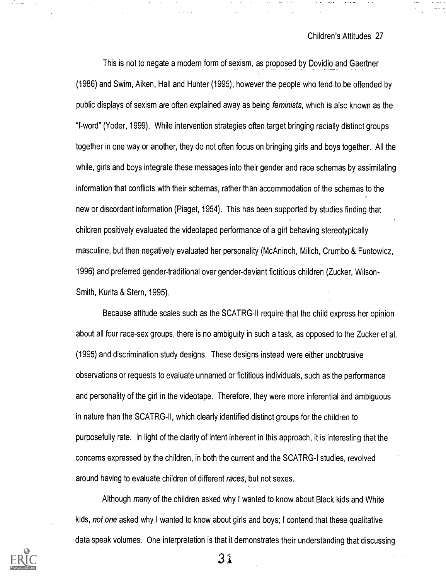This is not to negate a modem form of sexism, as proposed by Dovidio and Gaertner (1986) and Swim, Aiken, Hall and Hunter (1995), however the people who tend to be offended by public displays of sexism are often explained away as being feminists, which is also known as the "f-word" (Yoder, 1999). While intervention strategies often target bringing racially distinct groups together in one way or another, they do not often focus on bringing girls and boys together. All the while, girls and boys integrate these messages into their gender and race schemas by assimilating information that conflicts with their schemes, rather than accommodation of the schemas to the new or discordant information (Piaget, 1954). This has been supported by studies finding that children positively evaluated the videotaped performance of a girl behaving stereotypically masculine, but then negatively evaluated her personality (McAninch, Milich, Crumbo & Funtowicz, 1996) and preferred gender-traditional over gender-deviant fictitious children (Zucker, Wilson-Smith, Kurita & Stern, 1995).

Because attitude scales such as the SCATRG-I1 require that the child express her opinion about all four race-sex groups, there is no ambiguity in such a task, as opposed to the Zucker et al. (1995) and discrimination study designs. These designs instead were either unobtrusive observations or requests to evaluate unnamed or fictitious individuals, such as the performance and personality of the girl in the videotape. Therefore, they were more inferential and ambiguous in nature than the SCATRG-II, which clearly identified distinct groups for the children to purposefully rate. In light of the clarity of intent inherent in this approach, it is interesting that the concerns expressed by the children, in both the current and the SCATRG-I studies, revolved around having to evaluate children of different races, but not sexes.

Although many of the children asked why I wanted to know about Black kids and White kids, not one asked why I wanted to know about girls and boys; I contend that these qualitative data speak volumes. One interpretation is that it demonstrates their understanding that discussing

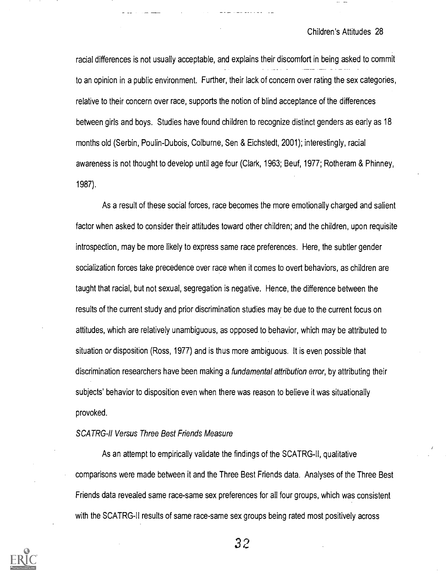racial differences is not usually acceptable, and explains their discomfort in being asked to commit to an opinion in a public environment. Further, their lack of concern over rating the sex categories, relative to their concern over race, supports the notion of blind acceptance of the differences between girls and boys. Studies have found children to recognize distinct genders as early as 18 months old (Serbin, Poulin-Dubois, Colburne, Sen & Eichstedt, 2001); interestingly, racial awareness is not thought to develop until age four (Clark, 1963; Beuf, 1977; Rotheram & Phinney, 1987).

As a result of these social forces, race becomes the more emotionally charged and salient factor when asked to consider their attitudes toward other children; and the children, upon requisite introspection, may be more likely to express same race preferences. Here, the subtler gender socialization forces take precedence over race when it comes to overt behaviors, as children are taught that racial, but not sexual, segregation is negative. Hence, the difference between the results of the current study and prior discrimination studies may be due to the current focus on attitudes, which are relatively unambiguous, as opposed to behavior, which may be attributed to situation or disposition (Ross, 1977) and is thus more ambiguous. It is even possible that discrimination researchers have been making a *fundamental attribution error*, by attributing their subjects' behavior to disposition even when there was reason to believe it was situationally provoked.

#### SCATRG-II Versus Three Best Friends Measure

As an attempt to empirically validate the findings of the SCATRG-II, qualitative comparisons were made between it and the Three Best Friends data. Analyses of the Three Best Friends data revealed same race-same sex preferences for all four groups, which was consistent with the SCATRG-Il results of same race-same sex groups being rated most positively across

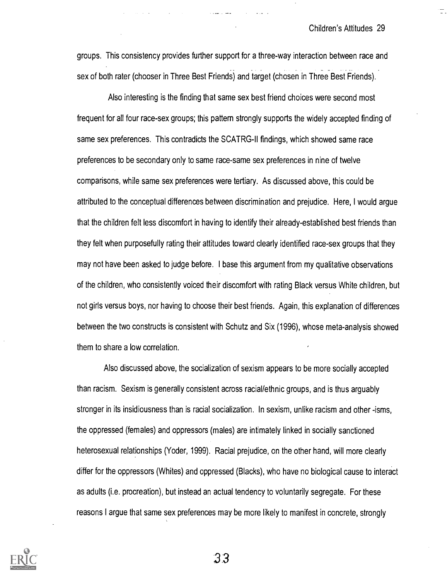groups. This consistency provides further support for a three-way interaction between race and sex of both rater (chooser in Three Best Friends) and target (chosen in Three Best Friends).

and the state of the state of the state of

Also interesting is the finding that same sex best friend choices were second most frequent for all four race-sex groups; this pattern strongly supports the widely accepted finding of same sex preferences. This contradicts the SCATRG-II findings, which showed same race preferences to be secondary only to same race-same sex preferences in nine of twelve comparisons, while same sex preferences were tertiary. As discussed above, this could be attributed to the conceptual differences between discrimination and prejudice. Here, I would argue that the children felt less discomfort in having to identify their already-established best friends than they felt when purposefully rating their attitudes toward clearly identified race-sex groups that they may not have been asked to judge before. I base this argument from my qualitative observations of the children, who consistently voiced their discomfort with rating Black versus White children, but not girls versus boys, nor having to choose their best friends. Again, this explanation of differences between the two constructs is consistent with Schutz and Six (1996), whose meta-analysis showed them to share a low correlation.

Also discussed above, the socialization of sexism appears to be more socially accepted than racism. Sexism is generally consistent across racial/ethnic groups, and is thus arguably stronger in its insidiousness than is racial socialization. In sexism, unlike racism and other -isms, the oppressed (females) and oppressors (males) are intimately linked in socially sanctioned heterosexual relationships (Yoder, 1999). Racial prejudice, on the other hand, will more clearly differ for the oppressors (Whites) and oppressed (Blacks), who have no biological cause to interact as adults (i.e. procreation), but instead an actual tendency to voluntarily segregate. For these reasons I argue that same sex preferences may be more likely to manifest in concrete, strongly

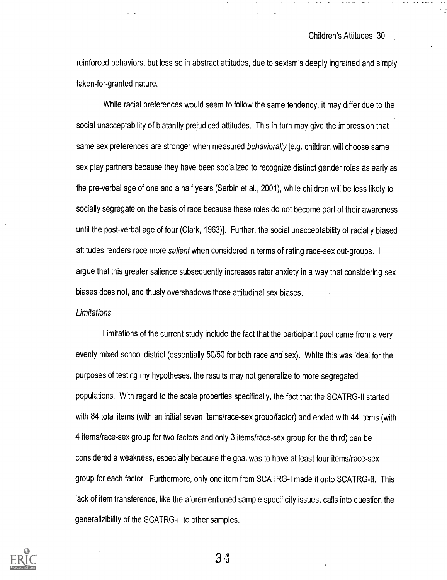reinforced behaviors, but less so in abstract attitudes, due to sexism's deeply ingrained and simply taken-for-granted nature.

While racial preferences would seem to follow the same tendency, it may differ due to the social unacceptability of blatantly prejudiced attitudes. This in turn may give the impression that same sex preferences are stronger when measured behaviorally [e.g. children will choose same sex play partners because they have been socialized to recognize distinct gender roles as early as the pre-verbal age of one and a half years (Serbin et al., 2001), while children will be less likely to socially segregate on the basis of race because these roles do not become part of their awareness until the post-verbal age of four (Clark, 1963)]. Further, the social unacceptability of racially biased attitudes renders race more salient when considered in terms of rating race-sex out-groups. <sup>I</sup> argue that this greater salience subsequently increases rater anxiety in a way that considering sex biases does not, and thusly overshadows those attitudinal sex biases.

#### **Limitations**

Limitations of the current study include the fact that the participant pool came from a very evenly mixed school district (essentially 50/50 for both race and sex). White this was ideal for the purposes of testing my hypotheses, the results may not generalize to more segregated populations. With regard to the scale properties specifically, the fact that the SCATRG-11 started with 84 total items (with an initial seven items/race-sex group/factor) and ended with 44 items (with 4 items/race-sex group for two factors and only 3 items/race-sex group for the third) can be considered a weakness, especially because the goal was to have at least four items/race-sex group for each factor. Furthermore, only one item from SCATRG-I made it onto SCATRG-II. This lack of item transference, like the aforementioned sample specificity issues, calls into question the generalizibility of the SCATRG-Il to other samples.

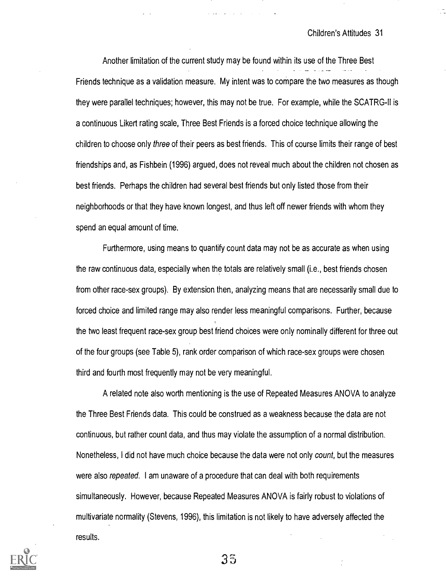Another limitation of the current study may be found within its use of the Three Best Friends technique as a validation measure. My intent was to compare the two measures as though they were parallel techniques; however, this may not be true. For example, while the SCATRG-II is a continuous Likert rating scale, Three Best Friends is a forced choice technique allowing the children to choose only three of their peers as best friends. This of course limits their range of best friendships and, as Fishbein (1996) argued, does not reveal much about the children not chosen as best friends. Perhaps the children had several best friends but only listed those from their neighborhoods or that they have known longest, and thus left off newer friends with whom they spend an equal amount of time.

Furthermore, using means to quantify count data may not be as accurate as when using the raw continuous data, especially when the totals are relatively small (i.e., best friends chosen from other race-sex groups). By extension then, analyzing means that are necessarily small due to forced choice and limited range may also render less meaningful comparisons. Further, because the two least frequent race-sex group best friend choices were only nominally different for three out of the four groups (see Table 5), rank order comparison of which race-sex groups were chosen third and fourth most frequently may not be very meaningful.

A related note also worth mentioning is the use of Repeated Measures ANOVA to analyze the Three Best Friends data. This could be construed as a weakness because the data are not continuous, but rather count data, and thus may violate the assumption of a normal distribution. Nonetheless, I did not have much choice because the data were not only *count*, but the measures were also repeated. I am unaware of a procedure that can deal with both requirements simultaneously. However, because Repeated Measures ANOVA is fairly robust to violations of multivariate normality (Stevens, 1996), this limitation is not likely to have adversely affected the results.



 $35\,$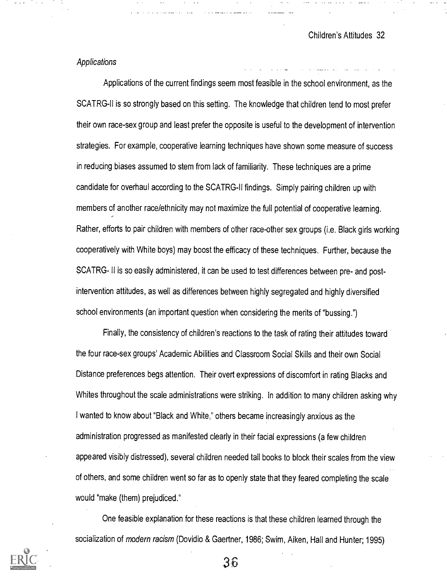#### **Applications**

Applications of the current findings seem most feasible in the school environment, as the SCATRG-II is so strongly based on this setting. The knowledge that children tend to most prefer their own race-sex group and least prefer the opposite is useful to the development of intervention strategies. For example, cooperative learning techniques have shown some measure of success in reducing biases assumed to stem from lack of familiarity. These techniques are a prime candidate for overhaul according to the SCATRG-II findings. Simply pairing children up with members of another race/ethnicity may not maximize the full potential of cooperative learning. Rather, efforts to pair children with members of other race-other sex groups (i.e. Black girls working cooperatively with White boys) may boost the efficacy of these techniques. Further, because the SCATRG- II is so easily administered, it can be used to test differences between pre- and postintervention attitudes, as well as differences between highly segregated and highly diversified school environments (an important question when considering the merits of "bussing.")

Finally, the consistency of children's reactions to the task of rating their attitudes toward the four race-sex groups' Academic Abilities and Classroom Social Skills and their own Social Distance preferences begs attention. Their overt expressions of discomfort in rating Blacks and Whites throughout the scale administrations were striking. In addition to many children asking why I wanted to know about "Black and White," others became increasingly anxious as the administration progressed as manifested clearly in their facial expressions (a few children appeared visibly distressed), several children needed tall books to block their scales from the view of others, and some children went so far as to openly state that they feared completing the scale would "make (them) prejudiced."

One feasible explanation for these reactions is that these children learned through the socialization of modern racism (Dovidio & Gaertner, 1986; Swim, Aiken, Hall and Hunter; 1995)

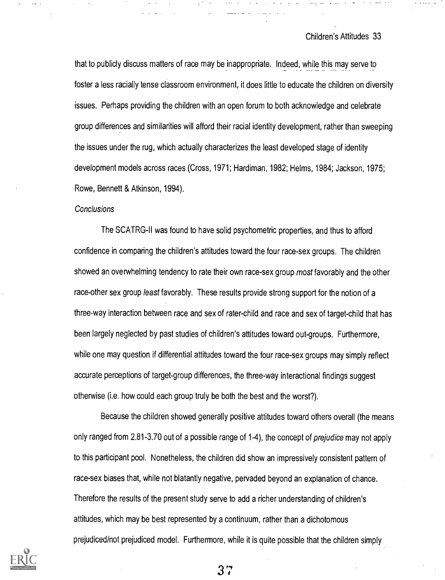that to publicly discuss matters of race may be inappropriate. Indeed, while this may serve to foster a less racially tense classroom environment, it does little to educate the children on diversity issues. Perhaps providing the children with an open forum to both acknowledge and celebrate group differences and similarities will afford their racial identity development, rather than sweeping the issues under the rug, which actually characterizes the least developed stage of identity development models across races (Cross, 1971; Hardiman, 1982; Helms, 1984; Jackson, 1975; Rowe, Bennett & Atkinson, 1994).

#### **Conclusions**

The SCATRG-II was found to have solid psychometric properties, and thus to afford confidence in comparing the children's attitudes toward the four race-sex groups. The children showed an overwhelming tendency to rate their own race-sex group most favorably and the other race-other sex group least favorably. These results provide strong support for the notion of a three-way interaction between race and sex of rater-child and race and sex of target-child that has been largely neglected by past studies of children's attitudes toward out-groups. Furthermore, while one may question if differential attitudes toward the four race-sex groups may simply reflect accurate perceptions of target-group differences, the three-way interactional findings suggest otherwise (i.e. how could each group truly be both the best and the worst?).

Because the children showed generally positive attitudes toward others overall (the means only ranged from 2.81-3.70 out of a possible range of 1-4), the concept of prejudice may not apply to this participant pool. Nonetheless, the children did show an impressively consistent pattern of race-sex biases that, while not blatantly negative, pervaded beyond an explanation of chance. Therefore the results of the present study serve to add a richer understanding of children's attitudes, which may be best represented by a continuum, rather than a dichotomous prejudiced/not prejudiced model. Furthermore, while it is quite possible that the children simply

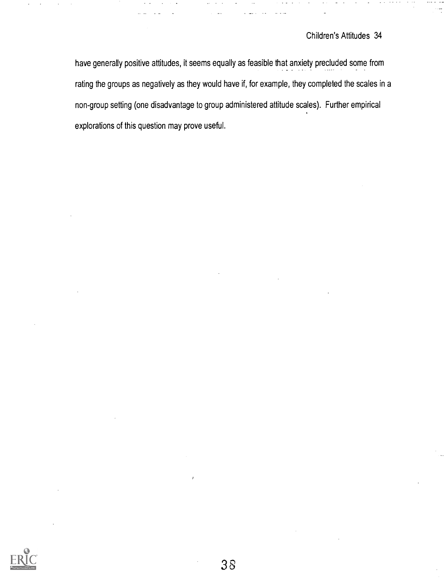have generally positive attitudes, it seems equally as feasible that anxiety precluded some from rating the groups as negatively as they would have if, for example, they completed the scales in a non-group setting (one disadvantage to group administered attitude scales). Further empirical explorations of this question may prove useful.

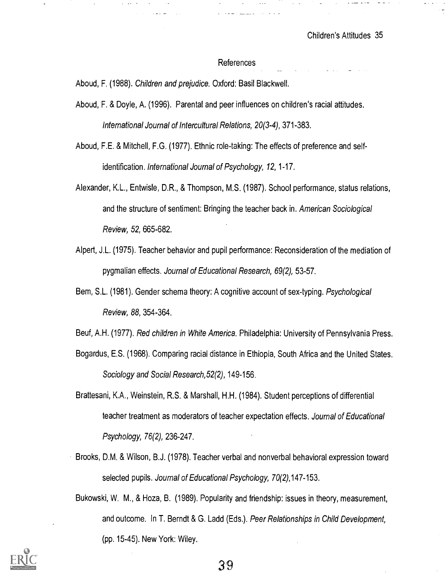-

#### References

Aboud, F. (1988). Children and prejudice. Oxford: Basil Blackwell.

Aboud, F. & Doyle, A. (1996). Parental and peer influences on children's racial attitudes. International Journal of Intercultural Relations, 20(3-4), 371-383.

Aboud, F.E. & Mitchell, F.G. (1977). Ethnic role-taking: The effects of preference and selfidentification. International Journal of Psychology, 12, 1-17.

- Alexander, K.L., Entwisle, D.R., & Thompson, M.S. (1987). School performance, status relations, and the structure of sentiment: Bringing the teacher back in. American Sociological Review, 52, 665-682.
- Alpert, J.L. (1975). Teacher behavior and pupil performance: Reconsideration of the mediation of pygmalian effects. Journal of Educational Research, 69(2), 53-57.
- Bem, S.L. (1981). Gender schema theory: A cognitive account of sex-typing. Psychological Review, 88, 354-364.
- Beuf, A.H. (1977). Red children in White America. Philadelphia: University of Pennsylvania Press.
- Bogardus, E.S. (1968). Comparing racial distance in Ethiopia, South Africa and the United States. Sociology and Social Research,52(2), 149-156.
- Brattesani, K.A., Weinstein, R.S. & Marshall, H.H. (1984). Student perceptions of differential teacher treatment as moderators of teacher expectation effects. Journal of Educational Psychology, 76(2), 236-247.
- Brooks, D.M. & Wilson, B.J. (1978). Teacher verbal and nonverbal behavioral expression toward selected pupils. Journal of Educational Psychology, 70(2),147-153.
- Bukowski, W. M., & Hoza, B. (1989). Popularity and friendship: issues in theory, measurement, and outcome. In T. Berndt & G. Ladd (Eds.). Peer Relationships in Child Development, (pp. 15-45). New York: Wiley.

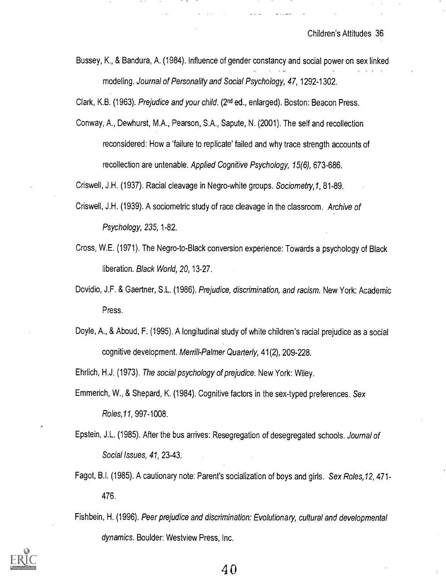Bussey, K., & Bandura, A. (1984). Influence of gender constancy and social power on sex linked modeling. Journal of Personality and Social Psychology, 47, 1292-1302.

Clark, K.B. (1963). Prejudice and your child. (2nd ed., enlarged). Boston: Beacon Press.

Conway, A., Dewhurst, M.A., Pearson, S.A., Sapute, N. (2001). The self and recollection reconsidered: How a 'failure to replicate' failed and why trace strength accounts of recollection are untenable. Applied Cognitive Psychology, 15(6), 673-686.

Criswell, J.H. (1937). Racial cleavage in Negro-white groups. Sociometry, 1, 81-89.

- Criswell, J.H. (1939). A sociometric study of race cleavage in the classroom. Archive of Psychology, 235, 1-82.
- Cross, W.E. (1971). The Negro-to-Black conversion experience: Towards a psychology of Black liberation. Black World, 20, 13-27.
- Dovidio, J.F. & Gaertner, S.L. (1986). Prejudice, discrimination, and racism. New York: Academic Press.
- Doyle, A., & Aboud, F. (1995). A longitudinal study of white children's racial prejudice as a social cognitive development. Merrill-Palmer Quarterly, 41(2), 209-228.

Ehrlich, H.J. (1973). The social psychology of prejudice. New York: Wiley.

- Emmerich, W., & Shepard, K. (1984). Cognitive factors in the sex-typed preferences. Sex Roles,11, 997-1008.
- Epstein, J.L. (1985). After the bus arrives: Resegregation of desegregated schools. Journal of Social Issues, 41, 23-43.
- Fagot, B.I. (1985). A cautionary note: Parent's socialization of boys and girls. Sex Roles,12, 471- 476.
- Fishbein, H. (1996). Peer prejudice and discrimination: Evolutionary, cultural and developmental dynamics. Boulder: Westview Press, Inc.

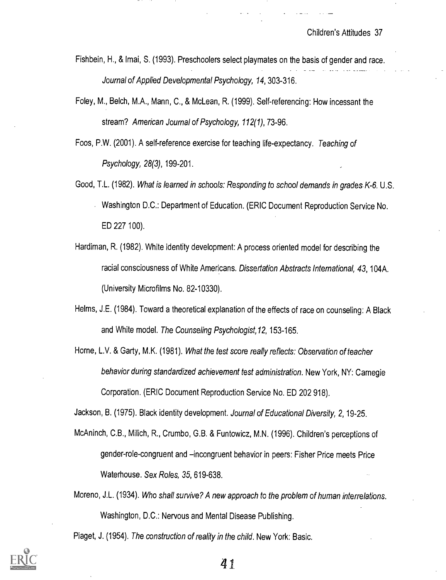Fishbein, H., & lmai, S. (1993). Preschoolers select playmates on the basis of gender and race. Journal of Applied Developmental Psychology, 14, 303-316.

Foley, M., Belch, M.A., Mann, C., & McLean, R. (1999). Self-referencing: How incessant the stream? American Journal of Psychology, 112(1), 73-96.

Foos, P.W. (2001). A self-reference exercise for teaching life-expectancy. Teaching of Psychology, 28(3), 199-201.

- Good, T.L. (1982). What is learned in schools: Responding to school demands in grades K-6. U.S. Washington D.C.: Department of Education. (ERIC Document Reproduction Service No. ED 227 100).
- Hardiman, R. (1982). White identity development: A process oriented model for describing the racial consciousness of White Americans. Dissertation Abstracts International, 43, 104A. (University Microfilms No. 82-10330).
- Helms, J.E. (1984). Toward a theoretical explanation of the effects of race on counseling: A Black and White model. The Counseling Psychologist,12, 153-165.

Home, L.V. & Garty, M.K. (1981). What the test score really reflects: Observation of teacher behavior during standardized achievement test administration. New York, NY: Carnegie Corporation. (ERIC Document Reproduction Service No. ED 202 918).

Jackson, B. (1975). Black identity development. Journal of Educational Diversity, 2, 19-25.

- McAninch, C.B., Milich, R., Crumbo, G.B. & Funtowicz, M.N. (1996). Children's perceptions of gender-role-congruent and  $-$ incongruent behavior in peers: Fisher Price meets Price Waterhouse. Sex Roles, 35, 619-638.
- Moreno, J.L. (1934). Who shall survive? A new approach to the problem of human interrelations. Washington, D.C.: Nervous and Mental Disease Publishing.

Piaget, J. (1954). The construction of reality in the child. New York: Basic.

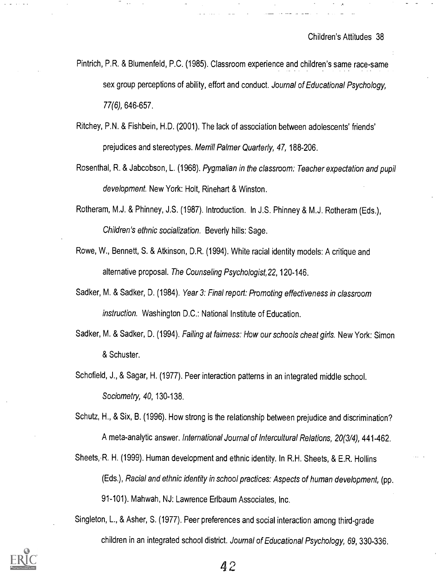- Pintrich, P.R. & Blumenfeld, P.C. (1985). Classroom experience and children's same race-same sex group perceptions of ability, effort and conduct. Journal of Educational Psychology, 77(6), 646-657.
- Ritchey, P.N. & Fishbein, H.D. (2001). The lack of association between adolescents' friends' prejudices and stereotypes. Merrill Palmer Quarterly, 47, 188-206.
- Rosenthal, R. & Jabcobson, L. (1968). Pygmalian in the classroom: Teacher expectation and pupil development. New York: Holt, Rinehart & Winston.
- Rotheram, M.J. & Phinney, J.S. (1987). Introduction. In J.S. Phinney & M.J. Rotheram (Eds.), Children's ethnic socialization. Beverly hills: Sage.
- Rowe, W., Bennett, S. & Atkinson, D.R. (1994). White racial identity models: A critique and alternative proposal. The Counseling Psychologist,22, 120-146.
- Sadker, M. & Sadker, D. (1984). Year 3: Final report: Promoting effectiveness in classroom instruction. Washington D.C.: National Institute of Education.
- Sadker, M. & Sadker, D. (1994). Failing at fairness: How our schools cheat girls. New York: Simon & Schuster.
- Schofield, J., & Sagar, H. (1977). Peer interaction patterns in an integrated middle school. Sociometry, 40, 130-138.
- Schutz, H., & Six, B. (1996). How strong is the relationship between prejudice and discrimination? A meta-analytic answer. International Journal of Intercultural Relations, 20(3/4), 441-462.
- Sheets,.R. H. (1999). Human development and ethnic identity. In R.H. Sheets, & E.R. Hollins (Eds.), Racial and ethnic identity in school practices: Aspects of human development, (pp. 91-101). Mahwah, NJ: Lawrence Erlbaum Associates, Inc.

Singleton, L., & Asher, S. (1977). Peer preferences and social interaction among third-grade children in an integrated school district. Journal of Educational Psychology, 69, 330-336.

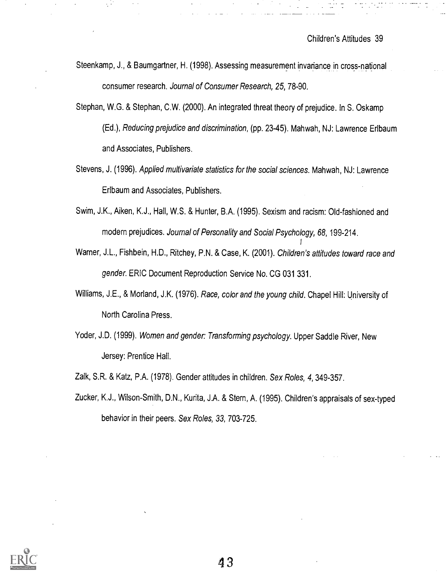- Steenkamp, J., & Baumgartner, H. (1998). Assessing measurement invariance in cross-national consumer research. Journal of Consumer Research, 25, 78-90.
- Stephan, W.G. & Stephan, C.W. (2000). An integrated threat theory of prejudice. In S. Oskamp (Ed.), Reducing prejudice and discrimination, (pp. 23-45). Mahwah, NJ: Lawrence Erlbaum and Associates, Publishers.
- Stevens, J. (1996). Applied multivariate statistics for the social sciences. Mahwah, NJ: Lawrence Erlbaum and Associates, Publishers.
- Swim, J.K., Aiken, K.J., Hall, W.S. & Hunter, B.A. (1995). Sexism and racism: Old-fashioned and modern prejudices. Journal of Personality and Social Psychology, 68, 199-214.
- Warner, J.L., Fishbein, H.D., Ritchey, P.N. & Case, K. (2001). Children's attitudes toward race and gender. ERIC Document Reproduction Service No. CG 031 331.
- Williams, J.E., & Morland, J.K. (1976). Race, color and the young child. Chapel Hill: University of North Carolina Press.
- Yoder, J.D. (1999). Women and gender: Transforming psychology. Upper Saddle River, New Jersey: Prentice Hall.
- Zalk, S.R. & Katz, P.A. (1978). Gender attitudes in children. Sex Roles, 4, 349-357.
- Zucker, K.J., Wilson-Smith, D.N., Kurita, J.A. & Stern, A. (1995). Children's appraisals of sex-typed behavior in their peers. Sex Roles, 33, 703-725.

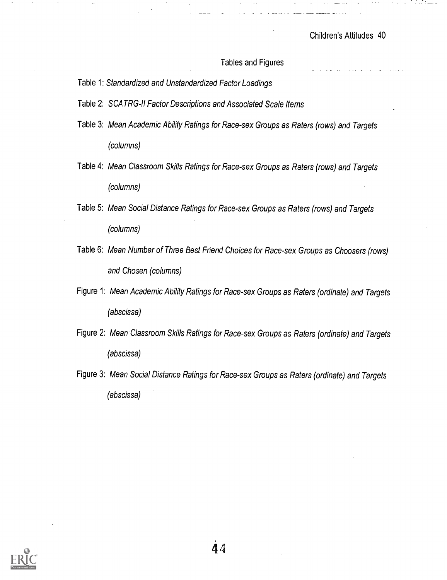#### Tables and Figures

- Table 1: Standardized and Unstandardized Factor Loadings
- Table 2: SCATRG-II Factor Descriptions and Associated Scale Items
- Table 3: Mean Academic Ability Ratings for Race-sex Groups as Raters (rows) and Targets (columns)
- Table 4: Mean Classroom Skills Ratings for Race-sex Groups as Raters (rows) and Targets (columns)
- Table 5: Mean Social Distance Ratings for Race-sex Groups as Raters (rows) and Targets (columns)
- Table 6: Mean Number of Three Best Friend Choices for Race-sex Groups as Choosers (rows) and Chosen (columns)
- Figure 1: Mean Academic Ability Ratings for Race-sex Groups as Raters (ordinate) and Targets (abscissa)
- Figure 2: Mean Classroom Skills Ratings for Race-sex Groups as Raters (ordinate) and Targets (abscissa)
- Figure 3: Mean Social Distance Ratings for Race-sex Groups as Raters (ordinate) and Targets (abscissa)

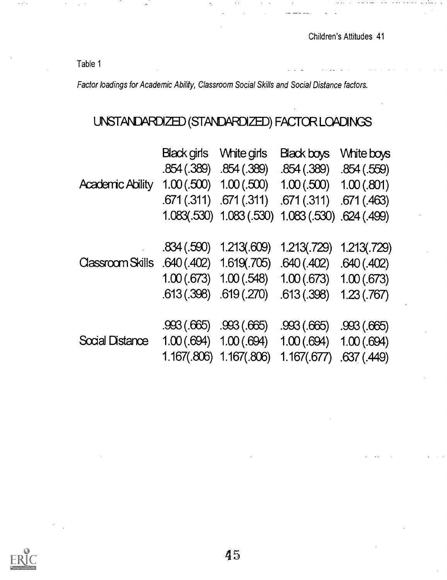Table 1

Factor loadings for Academic Ability, Classroom Social Skills and Social Distance factors.

# UNSTANDARDIZED (STANDARDIZED) FACTOR LOADINGS

|                                                                   |                       | Black girls White girls                             | Black boys White boys        |            |
|-------------------------------------------------------------------|-----------------------|-----------------------------------------------------|------------------------------|------------|
|                                                                   |                       | .854 (.389) .854 (.389) .854 (.389) .854 (.559)     |                              |            |
| <b>Academic Ability</b>                                           |                       | $1.00(.500)$ $1.00(.500)$ $1.00(.500)$ $1.00(.801)$ |                              |            |
|                                                                   |                       | .671 (.311) .671 (.311) .671 (.311) .671 (.463)     |                              |            |
|                                                                   |                       | 1.083(.530) 1.083 (.530) 1.083 (.530) 624 (.499)    |                              |            |
|                                                                   |                       |                                                     |                              |            |
|                                                                   |                       | $.834(.590)$ $1.213(.609)$                          | 1.213(.729) 1.213(.729)      |            |
| Classroom Skills .640 (.402) 1.619 (.705) .640 (.402) .640 (.402) |                       |                                                     |                              |            |
|                                                                   |                       | $1.00(.673)$ $1.00(.548)$ $1.00(.673)$ $1.00(.673)$ |                              |            |
|                                                                   |                       | $.613(.398)$ $.619(.270)$ $.613(.398)$              |                              | 1.23(.767) |
|                                                                   |                       |                                                     |                              |            |
|                                                                   | .993(.665) .993(.665) |                                                     | .993(.665)                   | .993(.665) |
| Social Distance                                                   |                       | $1.00(.694)$ $1.00(.694)$ $1.00(.694)$ $1.00(.694)$ |                              |            |
|                                                                   |                       | 1.167(.806) 1.167(.806)                             | $1.167(.677)$ . 637 $(.449)$ |            |

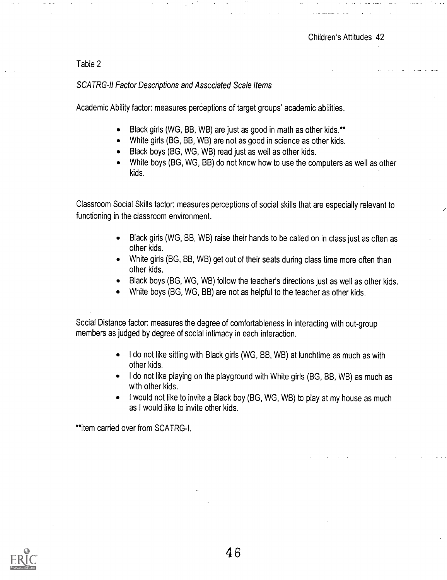Table 2

## SCA TRG-II Factor Descriptions and Associated Scale Items

Academic Ability factor: measures perceptions of target groups' academic abilities.

- Black girls (WG, BB, WB) are just as good in math as other kids.\*\*  $\bullet$
- White girls (BG, BB, WB) are not as good in science as other kids.
- Black boys (BG, WG, WB) read just as well as other kids.  $\bullet$
- White boys (BG, WG, BB) do not know how to use the computers as well as other kids.

Classroom Social Skills factor: measures perceptions of social skills that are especially relevant to functioning in the classroom environment.

- Black girls (WG, BB, WB) raise their hands to be called on in class just as often as other kids.
- White girls (BG, BB, WB) get out of their seats during class time more often than other kids.
- Black boys (BG, WG, WB) follow the teacher's directions just as well as other kids.
- White boys (BG, WG, BB) are not as helpful to the teacher as other kids.  $\bullet$

Social Distance factor: measures the degree of comfortableness in interacting with out-group members as judged by degree of social intimacy in each interaction.

- I do not like sitting with Black girls (WG, BB, WB) at lunchtime as much as with  $\bullet$ other kids.
- I do not like playing on the playground with White girls (BG, BB, WB) as much as with other kids.
- I would not like to invite a Black boy (BG, WG, WB) to play at my house as much as I would like to invite other kids.

\*\*item carried over from SCATRG-I.

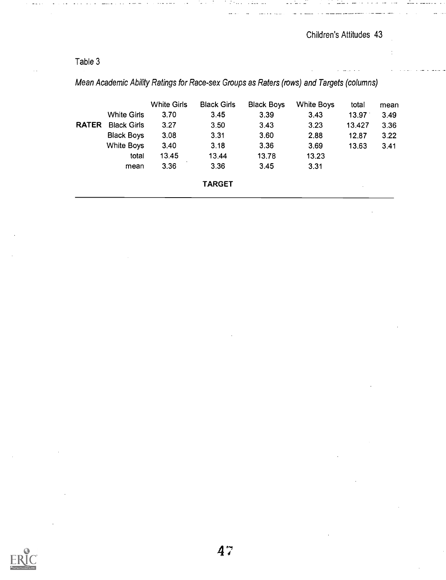Children's Attitudes 43 Table 3 Mean Academic Ability Ratings for Race-sex Groups as Raters (rows) and Targets (columns) White Girls Black Girls Black Boys White Boys total mean White Girls 3.70 3.45 3.39 3.43 13.97 3.49 RATER Black Girls 3.27 3.50 3.43 3.23 13.427 3.36 Black Boys 3.08 3.31 3.60 2.88 12.87 3.22 White Boys 3.40 3.18 3.36 3.69 13.63 3.41 total 13.45 13.44 13.78 13.23 mean 3.36 3.36 3.45 3.31 TARGET

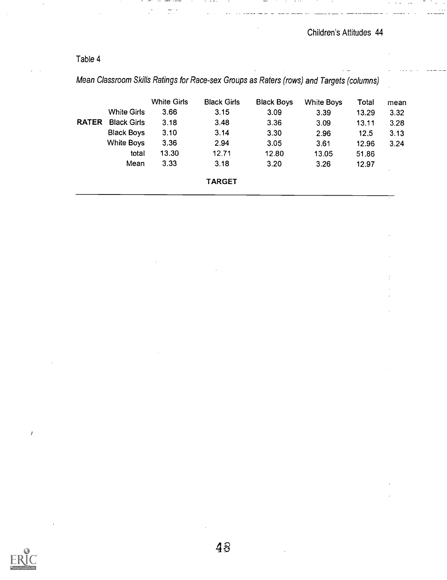$\cdots$ 

# Table 4

 $\frac{1}{2}$  ,  $\frac{1}{2}$ 

| <b>RATER</b> | <b>White Girls</b><br><b>Black Girls</b><br><b>Black Boys</b><br><b>White Boys</b><br>total<br>Mean | White Girls<br>3.66<br>3.18<br>3.10<br>3.36<br>13.30<br>3.33 | <b>Black Girls</b><br>3.15<br>3.48<br>3.14<br>2.94<br>12.71<br>3.18 | <b>Black Boys</b><br>3.09<br>3.36<br>3.30<br>3.05<br>12.80<br>3.20 | <b>White Boys</b><br>3.39<br>3.09<br>2.96<br>3.61<br>13.05<br>3.26 | Total<br>13.29<br>13.11<br>12.5<br>12.96<br>51.86<br>12.97 | mean<br>3.32<br>3.28<br>3.13<br>3.24 |  |
|--------------|-----------------------------------------------------------------------------------------------------|--------------------------------------------------------------|---------------------------------------------------------------------|--------------------------------------------------------------------|--------------------------------------------------------------------|------------------------------------------------------------|--------------------------------------|--|
|              |                                                                                                     |                                                              | <b>TARGET</b>                                                       |                                                                    |                                                                    |                                                            |                                      |  |



 $\overline{t}$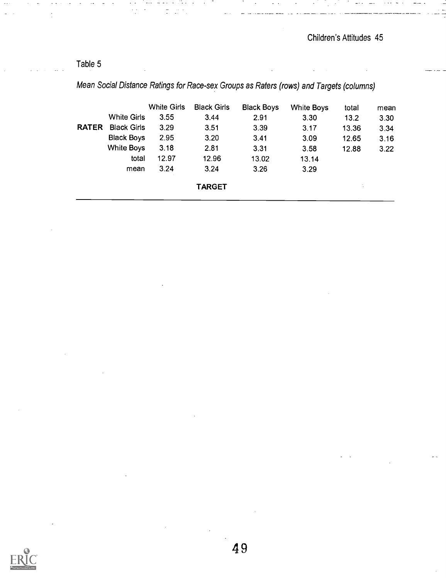# Table 5

|              |                    | <b>White Girls</b> | <b>Black Girls</b> | <b>Black Boys</b> | <b>White Boys</b> | total | mean |
|--------------|--------------------|--------------------|--------------------|-------------------|-------------------|-------|------|
|              | <b>White Girls</b> | 3.55               | 3.44               | 2.91              | 3.30              | 13.2  | 3.30 |
| <b>RATER</b> | <b>Black Girls</b> | 3.29               | 3.51               | 3.39              | 3.17              | 13.36 | 3.34 |
|              | <b>Black Boys</b>  | 2.95               | 3.20               | 3.41              | 3.09              | 12.65 | 3.16 |
|              | <b>White Boys</b>  | 3.18               | 2.81               | 3.31              | 3.58              | 12.88 | 3.22 |
|              | total              | 12.97              | 12.96              | 13.02             | 13.14             |       |      |
|              | mean               | 3.24               | 3.24               | 3.26              | 3.29              |       |      |
|              |                    |                    | <b>TARGET</b>      |                   |                   | ÷,    |      |

Mean Social Distance Ratings for Race-sex Groups as Raters (rows) and Targets (columns)

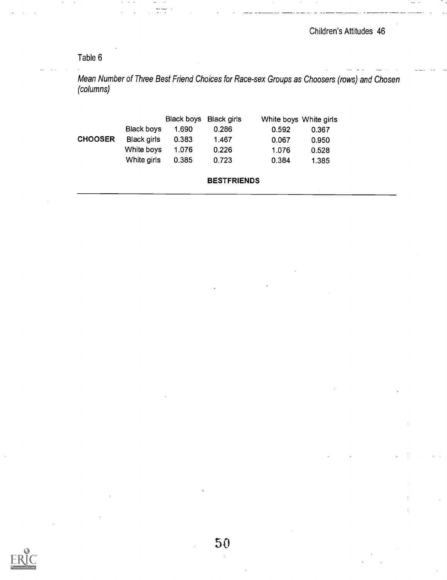## Table 6

Mean Number of Three Best Friend Choices for Race-sex Groups as Choosers (rows) and Chosen (columns)

|                |             | Black boys Black girls |       | White boys White girls |       |  |
|----------------|-------------|------------------------|-------|------------------------|-------|--|
|                | Black boys  | 1.690                  | 0.286 | 0.592                  | 0.367 |  |
| <b>CHOOSER</b> | Black girls | 0.383                  | 1.467 | 0.067                  | 0.950 |  |
|                | White boys  | 1.076                  | 0.226 | 1.076                  | 0.528 |  |
|                | White girls | 0.385                  | 0.723 | 0.384                  | 1.385 |  |

#### BESTFRIENDS

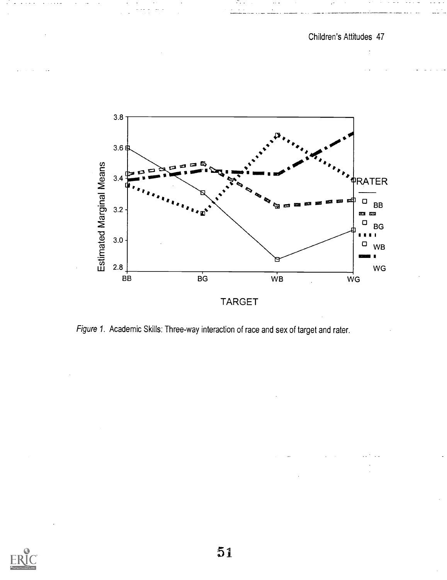



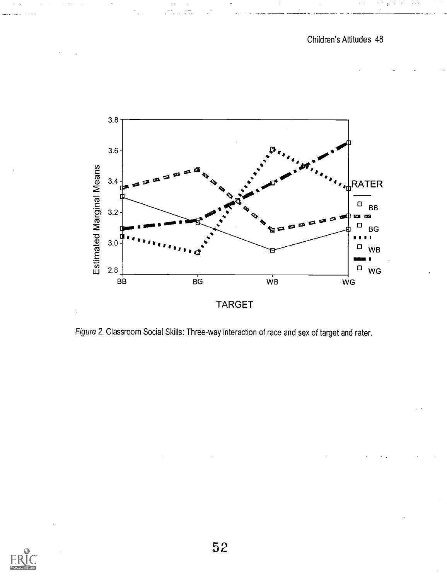

Figure 2. Classroom Social Skills: Three-way interaction of race and sex of target and rater.

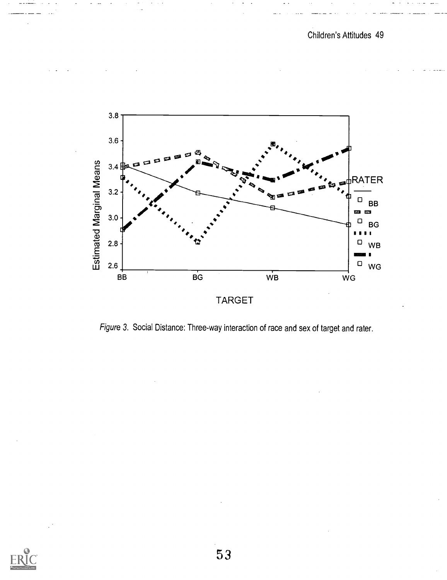

Figure 3. Social Distance: Three-way interaction of race and sex of target and rater.

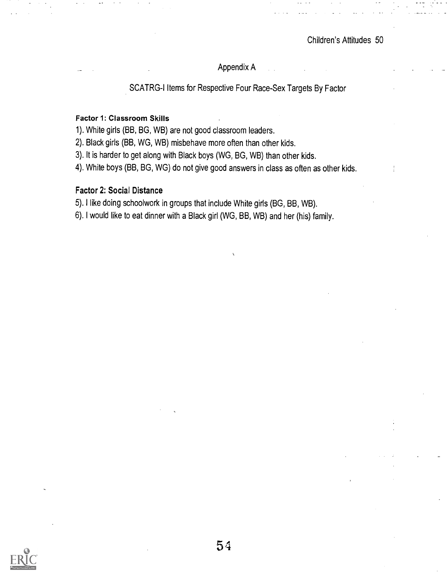## Appendix A

## SCATRG-I Items for Respective Four Race-Sex Targets By Factor

#### Factor 1: Classroom Skills

1). White girls (BB, BG, WB) are not good classroom leaders.

2). Black girls (BB, WG, WB) misbehave more often than other kids.

3). It is harder to get along with Black boys (WG, BG, WB) than other kids.

4). White boys (BB, BG, WG) do not give good answers in class as often as other kids.

#### Factor 2: Social Distance

5). I like doing schoolwork in groups that include White girls (BG, BB, WB).

6). I would like to eat dinner with a Black girl (WG, BB, WB) and her (his) family.

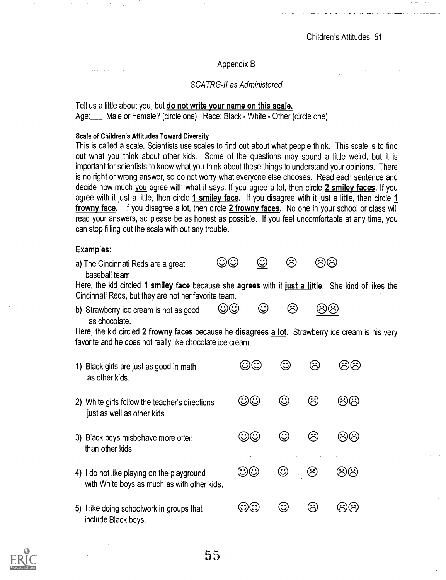#### Appendix B

### SCATRG-II as Administered

Tell us a little about you, but do not write your name on this scale. Age: Male or Female? (circle one) Race: Black - White - Other (circle one)

#### Scale of Children's Attitudes Toward Diversity

This is called a scale. Scienfists use scales to find out about what people think. This scale is to find out what you think about other kids. Some of the questions may sound a little weird, but it is important for scientists to know what you think about these things to understand your opinions. There is no right or wrong answer, so do not worry what everyone else chooses. Read each sentence and decide how much you agree with what it says. If you agree a lot, then circle 2 smiley faces. If you agree with it just a little, then circle 1 smiley face. If you disagree with it just a little, then circle 1 frowny face. If you disagree a lot, then circle 2 frowny faces. No one in your school or class will read your answers, so please be as honest as possible. If you feel uncomfortable at any time, you can stop filling out the scale with out any trouble.

#### Examples:

a) The Cincinnati Reds are a great ©CD 0 00 baseball team.

Here, the kid circled 1 smiley face because she agrees with it just a little. She kind of likes the Cincinnati Reds, but they are not her favorite team.

b) Strawberry ice cream is not as good  $\heartsuit \heartsuit$   $\heartsuit$   $\heartsuit$   $\heartsuit$   $\heartsuit$   $\heartsuit$   $\heartsuit$ as chocolate.

Here, the kid circled 2 frowny faces because he disagrees a lot. Strawberry ice cream is his very favorite and he does not really like chocolate ice cream.

| 1) Black girls are just as good in math<br>as other kids.                                 | $\mathbb{C}\mathbb{C}$ | $\mathbb{C}$     | $\odot$                                                  | おん                                                          |
|-------------------------------------------------------------------------------------------|------------------------|------------------|----------------------------------------------------------|-------------------------------------------------------------|
| 2) White girls follow the teacher's directions<br>just as well as other kids.             | $\odot$ C)             | $\rm \mathbb{C}$ | $\odot$                                                  | හිහි                                                        |
| 3) Black boys misbehave more often<br>than other kids.                                    | $\mathbb{C}\mathbb{C}$ | $\mathbb{C}$     | $\left(\!\!\left.\mathring{\cdot}\!\!\right)\!\!\right)$ | おん                                                          |
| 4) I do not like playing on the playground<br>with White boys as much as with other kids. | $\odot\odot$           | $\odot$          | $\odot$                                                  | おお                                                          |
| 5) I like doing schoolwork in groups that<br>include Black boys.                          | $\mathbb{C}\mathbb{C}$ | $\mathbf{C}$     | $\left( \mathcal{L}\right)$                              | $\langle \dot{\gamma} \rangle \langle \dot{\gamma} \rangle$ |

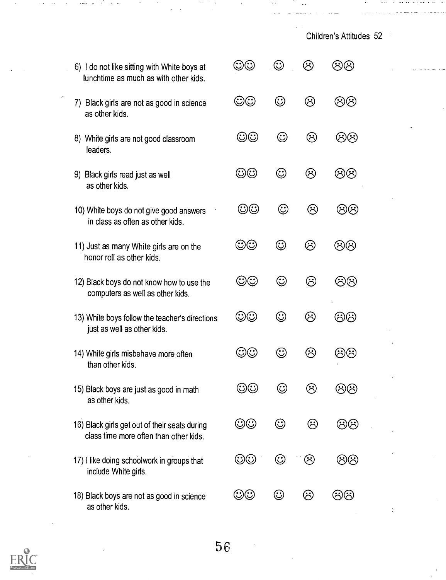6) I do not like sitting with White boys at  $\circledcirc\circ\circ\circ$   $\circledcirc$   $\circledcirc$   $\circledcirc$   $\circledcirc$ lunchtime as much as with other kids. 7) Black girls are not as good in science  $\circledcirc\circ\circ\circ$   $\circledcirc$   $\circledcirc$   $\circledcirc$   $\circledcirc$ as other kids. 8) White girls are not good classroom  $\bigcirc \mathbb{O} \qquad \bigcirc \qquad \bigcirc$  0 0 0 0 00 leaders. 9) Black girls read just as well  $\circledcirc$   $\circledcirc$   $\circledcirc$   $\circledcirc$   $\circledcirc$   $\circledcirc$   $\circledcirc$ as other kids. 10) White boys do not give good answers  $\circledcirc\circ\circ$   $\circledcirc$   $\circledcirc$   $\circledcirc$   $\circledcirc$ in class as often as other kids. 11) Just as many White girls are on the  $\circledcirc$   $\circledcirc$   $\circledcirc$   $\circledcirc$   $\circledcirc$   $\circledcirc$   $\circledcirc$ honor roll as other kids. 12) Black boys do not know how to use the  $\circled{O}$  0  $\circled{O}$  0  $\circled{O}$  0 computers as well as other kids. 13) White boys follow the teacher's directions  $\circled{O}\circled{O}$   $\circled{O}$   $\circled{O}$   $\circled{O}$ just as well as other kids. 14) White girls misbehave more often  $\mathbb{O}\mathbb{O}\quad\mathbb{O}\quad\mathbb{O}$  0 00 than other kids. 15) Black boys are just as good in math  $\circled{O}$  0  $\circled{O}$  0  $\circled{O}$  0  $\circled{O}$ as other kids. 16) Black girls get out of their seats during  $\circled{O}$  0  $\circled{O}$  0  $\circled{O}$  0  $\circled{O}$ class time more often than other kids. 17) I like doing schoolwork in groups that  $\circled{C}$  0  $\circled{C}$  0  $\circled{C}$ include White girls. 18) Black boys are not as good in science a) 0 00 as other kids.

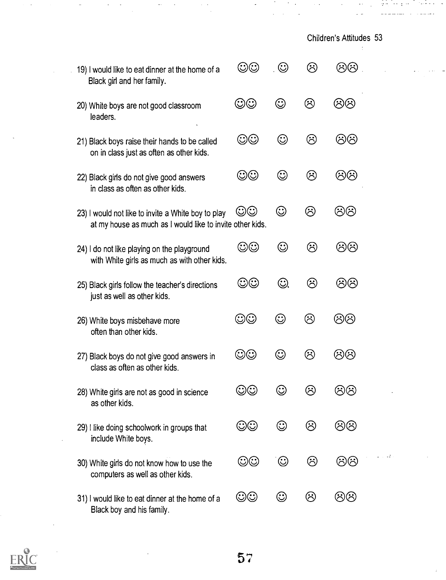| Children's Attitudes 53 |  |
|-------------------------|--|
|-------------------------|--|

| 19) I would like to eat dinner at the home of a<br>Black girl and her family.                                   | كاك                     | $\odot$ | $(\ddot{\sim})$ |     |  |
|-----------------------------------------------------------------------------------------------------------------|-------------------------|---------|-----------------|-----|--|
| 20) White boys are not good classroom<br>leaders.                                                               | $\mathbb{O} \mathbb{O}$ | $\odot$ | ගි              | ගිල |  |
| 21) Black boys raise their hands to be called<br>on in class just as often as other kids.                       | $\odot\odot$            | $\odot$ | ල               | ගි  |  |
| 22) Black girls do not give good answers<br>in class as often as other kids.                                    | $\odot\odot$            | ☺       | ⊗               | ගි  |  |
| 23) I would not like to invite a White boy to play<br>at my house as much as I would like to invite other kids. | $\mathbb{O}$ C)         | $\odot$ | ල               | ගි  |  |
| 24) I do not like playing on the playground<br>with White girls as much as with other kids.                     | $\odot\odot$            | ⊙       | ⊗               | ගිල |  |
| 25) Black girls follow the teacher's directions<br>just as well as other kids.                                  | $\odot\odot$            | O,      | ©               | මම  |  |
| 26) White boys misbehave more<br>often than other kids.                                                         | $\odot\odot$            | $\odot$ | ⊗               | ගි  |  |
| 27) Black boys do not give good answers in<br>class as often as other kids.                                     | $\odot\odot$            | $\odot$ | ⊗               | ගිල |  |
| 28) White girls are not as good in science<br>as other kids.                                                    | $\odot\odot$            | ☺       | ⊗               | ගි  |  |
| 29) I like doing schoolwork in groups that<br>include White boys.                                               | $\odot\odot$            | $\odot$ | ල               | ගි  |  |
| 30) White girls do not know how to use the<br>computers as well as other kids.                                  | $\odot\odot$            | $\odot$ | ම               | ගි  |  |
| 31) I would like to eat dinner at the home of a<br>Black boy and his family.                                    | $\odot\odot$            | $\odot$ | ම               | ගි  |  |



 $\frac{1}{2}$ 

÷,

 $\ddot{\phantom{0}}$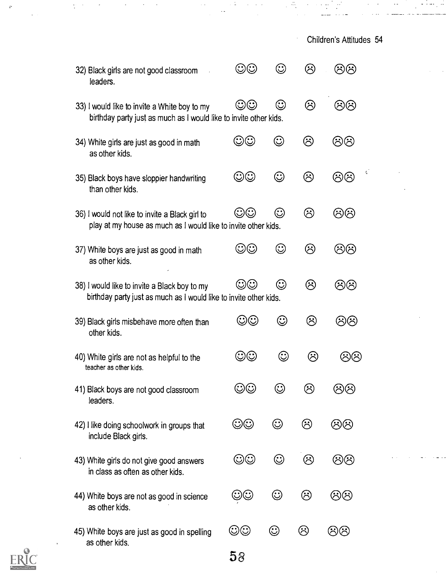| 32) Black girls are not good classroom<br>leaders.                                                                | $\mathbb{C}\mathbb{C}$ | $\mathbb{C}$        | $\left(\!\begin{smallmatrix} \cdot \ \cdot \end{smallmatrix}\!\right)$ | $\langle \dot{\gamma} \rangle$ |  |
|-------------------------------------------------------------------------------------------------------------------|------------------------|---------------------|------------------------------------------------------------------------|--------------------------------|--|
| 33) I would like to invite a White boy to my<br>birthday party just as much as I would like to invite other kids. | $\odot\odot$           | ☺                   | ම                                                                      | ගිගි                           |  |
| 34) White girls are just as good in math<br>as other kids.                                                        | $\mathbf{\hat{c}}$     | ⊙                   | ල                                                                      | ගිහි                           |  |
| 35) Black boys have sloppier handwriting<br>than other kids.                                                      | $\odot\odot$           | $\odot$             | ⊗                                                                      | ගි                             |  |
| 36) I would not like to invite a Black girl to<br>play at my house as much as I would like to invite other kids.  | $\mathbb{C}\mathbb{C}$ | $\odot$             | ල                                                                      | ගිහි                           |  |
| 37) White boys are just as good in math<br>as other kids.                                                         | $\mathbb{C}$           | $\odot$             | ☺                                                                      | ගිහි                           |  |
| 38) I would like to invite a Black boy to my<br>birthday party just as much as I would like to invite other kids. | $\mathbb{C}$           | $\rm (\!\cdot\!\,)$ | ☺                                                                      | ගිහි                           |  |
| 39) Black girls misbehave more often than<br>other kids.                                                          | $\mathbb{C}\mathbb{C}$ | $\odot$             | ගි                                                                     | ගි                             |  |
| 40) White girls are not as helpful to the<br>teacher as other kids.                                               | ලා                     | $\odot$             | ⊗                                                                      | $\langle \mathcal{S} \rangle$  |  |
| 41) Black boys are not good classroom<br>leaders.                                                                 | $\odot\odot$           | $\odot$             | $\left(\ddot{\cdot}\right)$                                            | වම                             |  |
| 42) I like doing schoolwork in groups that<br>include Black girls.                                                | $\odot\odot$           | $\odot$             | ල                                                                      | ගි                             |  |
| 43) White girls do not give good answers<br>in class as often as other kids.                                      | $\odot\odot$           | $\odot$             | <b>ම</b>                                                               | ගි                             |  |
| 44) White boys are not as good in science<br>as other kids.                                                       | $\odot\odot$           | $\odot$             | ⊗                                                                      | ගි                             |  |
| 45) White boys are just as good in spelling<br>as other kids.                                                     | $\odot\odot$           | $\odot$             | ☺                                                                      | මම                             |  |

5 8

Children's Attitudes 54

 $\ddot{\phantom{a}}$ 

 $\mathbb{R}^2$ 

الكراريف



 $\frac{1}{4} \frac{1}{2} \frac{1}{2}$ 

 $\dot{\varphi}$ 

 $\ddot{\phantom{0}}$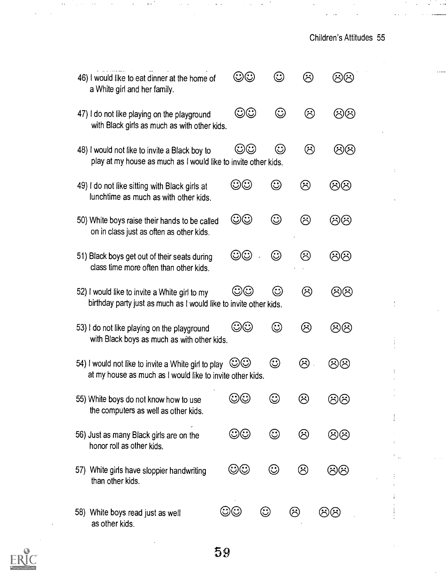|     | 46) I would like to eat dinner at the home of<br>a White girl and her family.                                                        | $\mathbb{C}$            |              | $\left(\ddot{\sim}\right)$ | $\langle \dot{\gamma} \rangle$ |  |
|-----|--------------------------------------------------------------------------------------------------------------------------------------|-------------------------|--------------|----------------------------|--------------------------------|--|
|     | 47) I do not like playing on the playground<br>with Black girls as much as with other kids.                                          | $\odot\odot$            | ☺            | ⊗                          | ගිල                            |  |
|     | 48) I would not like to invite a Black boy to<br>play at my house as much as I would like to invite other kids.                      | $\mathbb{C} \mathbb{C}$ | $\odot$      | ©                          | ගල                             |  |
|     | 49) I do not like sitting with Black girls at<br>lunchtime as much as with other kids.                                               | $\mathbb{C}\mathbb{C}$  | $\mathbb{C}$ | ⊗                          | ගි                             |  |
|     | 50) White boys raise their hands to be called<br>on in class just as often as other kids.                                            | $\odot\odot$            | $\odot$      | ⊗                          | ගිහි                           |  |
|     | 51) Black boys get out of their seats during<br>class time more often than other kids.                                               | $\odot\odot$            | $\odot$      | ⊗                          | ගිගි                           |  |
|     | 52) I would like to invite a White girl to my<br>birthday party just as much as I would like to invite other kids.                   | كاكا                    | $\odot$      | ල                          | ගි                             |  |
|     | 53) I do not like playing on the playground<br>with Black boys as much as with other kids.                                           | $\odot\odot$            | $\odot$      | ©                          | ගිල                            |  |
|     | 54) I would not like to invite a White girl to play $\circledcirc\circ$<br>at my house as much as I would like to invite other kids. |                         | $\odot$      | ⊗                          | ගල                             |  |
|     | 55) White boys do not know how to use<br>the computers as well as other kids.                                                        | $\mathbb{C}\mathbb{C}$  | $\mathbb{C}$ | $\odot$                    | ළුල                            |  |
|     | 56) Just as many Black girls are on the<br>honor roll as other kids.                                                                 | $\odot\odot$            | $\odot$      | ©                          | ගි                             |  |
| 57) | White girls have sloppier handwriting<br>than other kids.                                                                            | $\odot\odot$            | $\odot$      | ල                          | ගි                             |  |
|     | 58) White boys read just as well<br>as other kids.                                                                                   |                         | $\odot$      | ☺                          | ගිල                            |  |

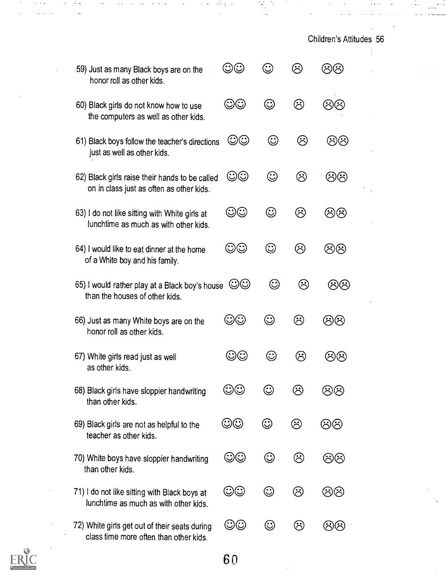| 59) Just as many Black boys are on the<br>honor roll as other kids.                            | $\odot\odot$            | $\odot$ | $\hat{\mathcal{C}}$ | $\odot$ (*) |  |
|------------------------------------------------------------------------------------------------|-------------------------|---------|---------------------|-------------|--|
| 60) Black girls do not know how to use<br>the computers as well as other kids.                 | $\odot\odot$            | $\odot$ | ☺                   | ගි          |  |
| 61) Black boys follow the teacher's directions<br>just as well as other kids.                  | $\odot\odot$            | $\odot$ | ☺                   | ගි          |  |
| 62) Black girls raise their hands to be called<br>on in class just as often as other kids.     | $\odot\odot$            | ☺       | ⊗                   | ගි          |  |
| 63) I do not like sitting with White girls at<br>lunchtime as much as with other kids.         | $\odot\odot$            | $\odot$ | ☺                   | ගි          |  |
| 64) I would like to eat dinner at the home<br>of a White boy and his family.                   | $\odot\odot$            | $\odot$ | ⊗                   | ගි          |  |
| 65) I would rather play at a Black boy's house $\circled{C}$<br>than the houses of other kids. |                         | $\odot$ | ⊗                   | ගි          |  |
| 66) Just as many White boys are on the<br>honor roll as other kids.                            | $\mathbb{O} \mathbb{O}$ | $\odot$ | ⊗                   | ගි          |  |
| 67) White girls read just as well<br>as other kids.                                            | $\mathbb{O} \mathbb{O}$ | ☺       | ☺                   | ගි          |  |
| 68) Black girls have sloppier handwriting<br>than other kids.                                  | $\odot\odot$            | $\odot$ | $\odot$             | ගි          |  |
| 69) Black girls are not as helpful to the<br>teacher as other kids.                            | $\odot\odot$            | $\odot$ | ☺                   | ගි          |  |
| 70) White boys have sloppier handwriting<br>than other kids.                                   | $\odot\odot$            | $\odot$ | ☺                   | ගි          |  |
| 71) I do not like sitting with Black boys at<br>lunchtime as much as with other kids.          | $\odot\odot$            | $\odot$ | ⊗                   | ගි          |  |
| 72) White girls get out of their seats during<br>class time more often than other kids.        | $\odot\odot$            | $\odot$ | ⊛                   | ගි          |  |



 $\omega$  .  $\omega$  .  $\omega$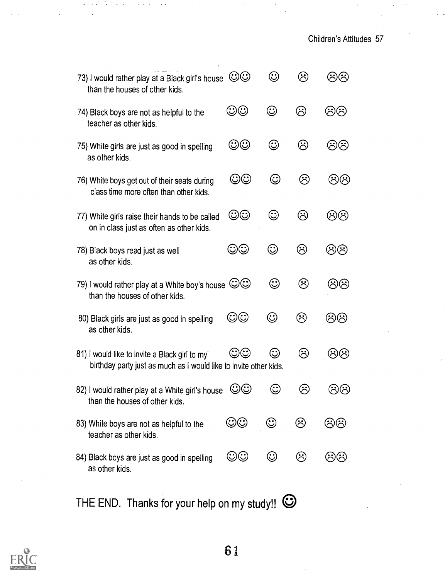| 73) I would rather play at a Black girl's house<br>than the houses of other kids.                                  | $\odot$ ල               | $\odot$ | $\odot$ | $(\ddot{\sim})(\dot{\sim})$ |  |
|--------------------------------------------------------------------------------------------------------------------|-------------------------|---------|---------|-----------------------------|--|
| 74) Black boys are not as helpful to the<br>teacher as other kids.                                                 | $\odot\odot$            | ☺       | ☺       | ගි                          |  |
| 75) White girls are just as good in spelling<br>as other kids.                                                     | $\odot\odot$            | $\odot$ | ©       | ලල                          |  |
| 76) White boys get out of their seats during<br>class time more often than other kids.                             | $\odot\odot$            | $\odot$ | ☺       | ගිල                         |  |
| 77) White girls raise their hands to be called<br>on in class just as often as other kids.                         | $\odot\odot$            | $\odot$ | ☺       | මම                          |  |
| 78) Black boys read just as well<br>as other kids.                                                                 | $\odot\odot$            | $\odot$ | ☺       | ගි                          |  |
| 79) I would rather play at a White boy's house $\circledcirc$<br>than the houses of other kids.                    |                         | $\odot$ | ⊗       | ගි                          |  |
| 80) Black girls are just as good in spelling<br>as other kids.                                                     | $\mathbb{O} \mathbb{O}$ | ☺       | ☺       | ගි                          |  |
| 81) I would like to invite a Black girl to my<br>birthday party just as much as I would like to invite other kids. | $\mathbb{C}$            | $\odot$ | ©       | ගි                          |  |
| 82) I would rather play at a White girl's house<br>than the houses of other kids.                                  | $\odot$                 | $\odot$ | ©       | ගිල                         |  |
| 83) White boys are not as helpful to the<br>teacher as other kids.                                                 | $\mathbb{C}\mathbb{C}$  | $\odot$ | ☺       | ගි                          |  |
| 84) Black boys are just as good in spelling<br>as other kids.                                                      | $\mathbb{O} \mathbb{O}$ | $\odot$ | ☺       | ගිල                         |  |
|                                                                                                                    |                         |         |         |                             |  |

THE END. Thanks for your help on my study!!  $\odot$ 

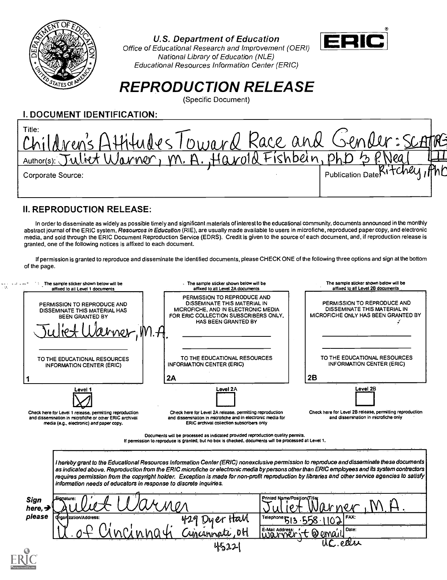

U.S. Department of Education  $\begin{bmatrix} \mathbf{C}^T \end{bmatrix}$ 



Office of Educational Research and Improvement (OERI) National Library of Education (NLE) Educational Resources Information Center (ERIC)

# REPRODUCTION RELEASE

(Specific Document)

I. DOCUMENT IDENTIFICATION:

| Title:<br>Children's Attitudes Toward Race and Gender: SCATAG                   |                                |  |
|---------------------------------------------------------------------------------|--------------------------------|--|
| Juliet Warner, M. A. Harold Fishbein, phD 5,<br>Author(s):<br>Corporate Source: | Publication Date Ritchley, Aho |  |

## II. REPRODUCTION RELEASE:

In order to disseminate as widely as possible timely and significant materials of interest to the educational community, documents announced in the monthly abstract journal of the ERIC system, Resources in Education (RIE), are usually made available to users in microfiche, reproduced paper copy, and electronic media, and sold through the ERIC Document Reproduction Service (EDRS). Credit is given to the source of each document, and, if reproduction release is granted, one of the following notices is affixed to each document.

If permission is granted to reproduce and disseminate the identified documents, please CHECK ONE of the following three options and sign at the bottom of the page.

| The sample sticker shown below will be<br>affixed to all Level 1 documents                                                                                    |                                                                   | - The sample sticker shown below will be<br>affixed to all Level 2A documents                                                                                                                                                                                                                                                                                    |                             | The sample sticker shown below will be<br>affixed to all Level 2B documents                                                                                                                                                                                                                                                                                                                                                                    |
|---------------------------------------------------------------------------------------------------------------------------------------------------------------|-------------------------------------------------------------------|------------------------------------------------------------------------------------------------------------------------------------------------------------------------------------------------------------------------------------------------------------------------------------------------------------------------------------------------------------------|-----------------------------|------------------------------------------------------------------------------------------------------------------------------------------------------------------------------------------------------------------------------------------------------------------------------------------------------------------------------------------------------------------------------------------------------------------------------------------------|
| PERMISSION TO REPRODUCE AND<br><b>DISSEMINATE THIS MATERIAL HAS</b><br>BEEN GRANTED BY                                                                        | <u>Unnet</u>                                                      | PERMISSION TO REPRODUCE AND<br>DISSEMINATE THIS MATERIAL IN<br>MICROFICHE, AND IN ELECTRONIC MEDIA<br>FOR ERIC COLLECTION SUBSCRIBERS ONLY.<br><b>HAS BEEN GRANTED BY</b>                                                                                                                                                                                        |                             | PERMISSION TO REPRODUCE AND<br>DISSEMINATE THIS MATERIAL IN<br>MICROFICHE ONLY HAS BEEN GRANTED BY                                                                                                                                                                                                                                                                                                                                             |
| TO THE EDUCATIONAL RESOURCES<br><b>INFORMATION CENTER (ERIC)</b>                                                                                              |                                                                   | TO THE EDUCATIONAL RESOURCES<br><b>INFORMATION CENTER (ERIC)</b>                                                                                                                                                                                                                                                                                                 |                             | TO THE EDUCATIONAL RESOURCES<br><b>INFORMATION CENTER (ERIC)</b>                                                                                                                                                                                                                                                                                                                                                                               |
|                                                                                                                                                               |                                                                   | 2A                                                                                                                                                                                                                                                                                                                                                               |                             | 2B                                                                                                                                                                                                                                                                                                                                                                                                                                             |
| Check here for Level 1 release, permitting reproduction<br>and dissemination in microfiche or other ERIC archival<br>media (e.g., electronic) and paper copy. |                                                                   |                                                                                                                                                                                                                                                                                                                                                                  |                             |                                                                                                                                                                                                                                                                                                                                                                                                                                                |
|                                                                                                                                                               |                                                                   | Check here for Level 2A release, permitting reproduction<br>and dissemination in microfiche and in electronic media for<br>ERIC archival collection subscribers only<br>Documents will be processed as indicated provided reproduction quality permits.<br>If permission to reproduce is granted, but no box is checked, documents will be processed at Level 1. |                             | Check here for Level 2B release, permitting reproduction<br>and dissemination in microfiche only                                                                                                                                                                                                                                                                                                                                               |
|                                                                                                                                                               | information needs of educators in response to discrete inquiries. |                                                                                                                                                                                                                                                                                                                                                                  | Printed Name/Position/Title | I hereby grant to the Educational Resources Information Center (ERIC) nonexclusive permission to reproduce and disseminate these documents<br>as indicated above. Reproduction from the ERIC microfiche or electronic media by persons other than ERIC employees and its system contractors<br>requires permission from the copyright holder. Exception is made for non-profit reproduction by libraries and other service agencies to satisfy |
| <b>Sign</b><br>here. $\rightarrow$                                                                                                                            |                                                                   |                                                                                                                                                                                                                                                                                                                                                                  |                             |                                                                                                                                                                                                                                                                                                                                                                                                                                                |
| please<br>Organization/Address:                                                                                                                               |                                                                   |                                                                                                                                                                                                                                                                                                                                                                  | Telephone                   | FAX:                                                                                                                                                                                                                                                                                                                                                                                                                                           |
|                                                                                                                                                               |                                                                   |                                                                                                                                                                                                                                                                                                                                                                  | E-Mail Address:             | Date:<br>စ္ပြာ                                                                                                                                                                                                                                                                                                                                                                                                                                 |
|                                                                                                                                                               |                                                                   | Criscinnati, off                                                                                                                                                                                                                                                                                                                                                 |                             |                                                                                                                                                                                                                                                                                                                                                                                                                                                |